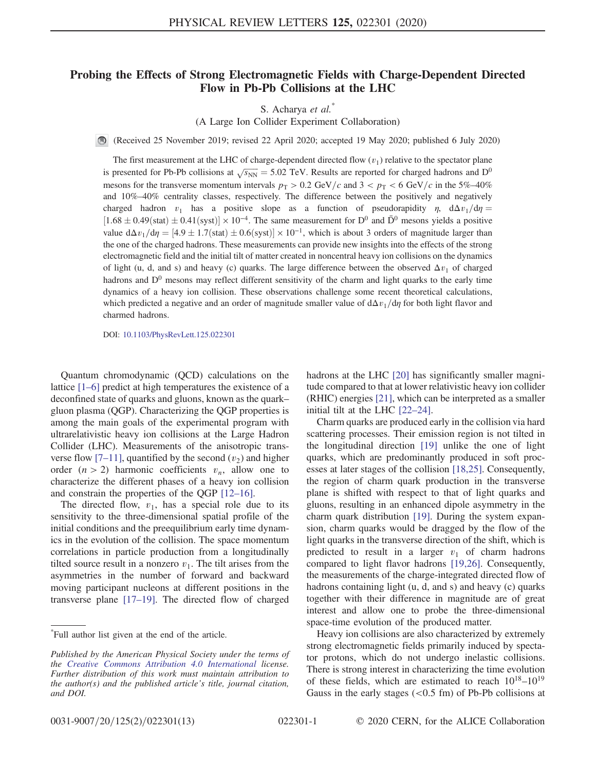## Probing the Effects of Strong Electromagnetic Fields with Charge-Dependent Directed Flow in Pb-Pb Collisions at the LHC

S. Acharya et al.<sup>\*</sup>

(A Large Ion Collider Experiment Collaboration)

(Received 25 November 2019; revised 22 April 2020; accepted 19 May 2020; published 6 July 2020)

The first measurement at the LHC of charge-dependent directed flow  $(v_1)$  relative to the spectator plane is presented for Pb-Pb collisions at  $\sqrt{s_{NN}}$  = 5.02 TeV. Results are reported for charged hadrons and D<sup>0</sup> mesons for the transverse momentum intervals  $p_T > 0.2 \text{ GeV}/c$  and  $3 < p_T < 6 \text{ GeV}/c$  in the 5%–40% and 10%–40% centrality classes, respectively. The difference between the positively and negatively charged hadron  $v_1$  has a positive slope as a function of pseudorapidity  $\eta$ ,  $d\Delta v_1/d\eta$  =  $[1.68 \pm 0.49(stat) \pm 0.41(syst)] \times 10^{-4}$ . The same measurement for D<sup>0</sup> and  $\bar{D}^0$  mesons yields a positive value  $d\Delta v_1/d\eta = [4.9 \pm 1.7(stat) \pm 0.6(syst)] \times 10^{-1}$ , which is about 3 orders of magnitude larger than the one of the charged hadrons. These measurements can provide new insights into the effects of the strong electromagnetic field and the initial tilt of matter created in noncentral heavy ion collisions on the dynamics of light (u, d, and s) and heavy (c) quarks. The large difference between the observed  $\Delta v_1$  of charged hadrons and  $D^0$  mesons may reflect different sensitivity of the charm and light quarks to the early time dynamics of a heavy ion collision. These observations challenge some recent theoretical calculations, which predicted a negative and an order of magnitude smaller value of  $d\Delta v_1/d\eta$  for both light flavor and charmed hadrons.

DOI: [10.1103/PhysRevLett.125.022301](https://doi.org/10.1103/PhysRevLett.125.022301)

Quantum chromodynamic (QCD) calculations on the lattice [\[1](#page-5-0)–6] predict at high temperatures the existence of a deconfined state of quarks and gluons, known as the quark– gluon plasma (QGP). Characterizing the QGP properties is among the main goals of the experimental program with ultrarelativistic heavy ion collisions at the Large Hadron Collider (LHC). Measurements of the anisotropic trans-verse flow [7–[11\]](#page-5-1), quantified by the second  $(v_2)$  and higher order  $(n > 2)$  harmonic coefficients  $v_n$ , allow one to characterize the different phases of a heavy ion collision and constrain the properties of the QGP [12–[16\].](#page-5-2)

The directed flow,  $v_1$ , has a special role due to its sensitivity to the three-dimensional spatial profile of the initial conditions and the preequilibrium early time dynamics in the evolution of the collision. The space momentum correlations in particle production from a longitudinally tilted source result in a nonzero  $v_1$ . The tilt arises from the asymmetries in the number of forward and backward moving participant nucleons at different positions in the transverse plane [\[17](#page-6-0)–19]. The directed flow of charged hadrons at the LHC [\[20\]](#page-6-1) has significantly smaller magnitude compared to that at lower relativistic heavy ion collider (RHIC) energies [\[21\]](#page-6-2), which can be interpreted as a smaller initial tilt at the LHC [22–[24\].](#page-6-3)

Charm quarks are produced early in the collision via hard scattering processes. Their emission region is not tilted in the longitudinal direction [\[19\]](#page-6-4) unlike the one of light quarks, which are predominantly produced in soft processes at later stages of the collision [\[18,25\]](#page-6-5). Consequently, the region of charm quark production in the transverse plane is shifted with respect to that of light quarks and gluons, resulting in an enhanced dipole asymmetry in the charm quark distribution [\[19\].](#page-6-4) During the system expansion, charm quarks would be dragged by the flow of the light quarks in the transverse direction of the shift, which is predicted to result in a larger  $v_1$  of charm hadrons compared to light flavor hadrons [\[19,26\].](#page-6-4) Consequently, the measurements of the charge-integrated directed flow of hadrons containing light (u, d, and s) and heavy (c) quarks together with their difference in magnitude are of great interest and allow one to probe the three-dimensional space-time evolution of the produced matter.

Heavy ion collisions are also characterized by extremely strong electromagnetic fields primarily induced by spectator protons, which do not undergo inelastic collisions. There is strong interest in characterizing the time evolution of these fields, which are estimated to reach  $10^{18}-10^{19}$ Gauss in the early stages  $( $0.5 \text{ fm}$ )$  of Pb-Pb collisions at

<sup>\*</sup> Full author list given at the end of the article.

Published by the American Physical Society under the terms of the [Creative Commons Attribution 4.0 International](https://creativecommons.org/licenses/by/4.0/) license. Further distribution of this work must maintain attribution to the author(s) and the published article's title, journal citation, and DOI.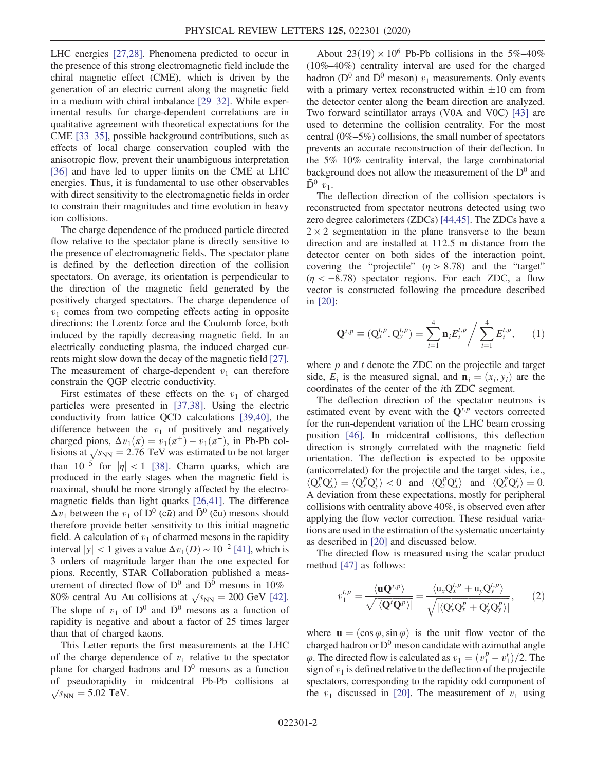LHC energies [\[27,28\]](#page-6-6). Phenomena predicted to occur in the presence of this strong electromagnetic field include the chiral magnetic effect (CME), which is driven by the generation of an electric current along the magnetic field in a medium with chiral imbalance [\[29](#page-6-7)–32]. While experimental results for charge-dependent correlations are in qualitative agreement with theoretical expectations for the CME [33–[35\],](#page-6-8) possible background contributions, such as effects of local charge conservation coupled with the anisotropic flow, prevent their unambiguous interpretation [\[36\]](#page-6-9) and have led to upper limits on the CME at LHC energies. Thus, it is fundamental to use other observables with direct sensitivity to the electromagnetic fields in order to constrain their magnitudes and time evolution in heavy ion collisions.

The charge dependence of the produced particle directed flow relative to the spectator plane is directly sensitive to the presence of electromagnetic fields. The spectator plane is defined by the deflection direction of the collision spectators. On average, its orientation is perpendicular to the direction of the magnetic field generated by the positively charged spectators. The charge dependence of  $v_1$  comes from two competing effects acting in opposite directions: the Lorentz force and the Coulomb force, both induced by the rapidly decreasing magnetic field. In an electrically conducting plasma, the induced charged currents might slow down the decay of the magnetic field [\[27\]](#page-6-6). The measurement of charge-dependent  $v_1$  can therefore constrain the QGP electric conductivity.

First estimates of these effects on the  $v_1$  of charged particles were presented in [\[37,38\].](#page-6-10) Using the electric conductivity from lattice QCD calculations [\[39,40\],](#page-6-11) the difference between the  $v_1$  of positively and negatively charged pions,  $\Delta v_1(\pi) = v_1(\pi^+) - v_1(\pi^-)$ , in Pb-Pb collisions at  $\sqrt{s_{NN}} = 2.76$  TeV was estimated to be not larger than  $10^{-5}$  for  $|\eta| < 1$  [\[38\]](#page-6-12). Charm quarks, which are produced in the early stages when the magnetic field is maximal, should be more strongly affected by the electromagnetic fields than light quarks [\[26,41\]](#page-6-13). The difference  $\Delta v_1$  between the  $v_1$  of  $D^0$  (c $\bar{u}$ ) and  $\bar{D}^0$  (cu) mesons should therefore provide better sensitivity to this initial magnetic field. A calculation of  $v_1$  of charmed mesons in the rapidity interval  $|y| < 1$  gives a value  $\Delta v_1(D) \sim 10^{-2}$  [\[41\]](#page-6-14), which is 3 orders of magnitude larger than the one expected for pions. Recently, STAR Collaboration published a measurement of directed flow of  $D^0$  and  $\overline{D}^0$  mesons in 10%– 80% central Au–Au collisions at  $\sqrt{s_{NN}} = 200$  GeV [\[42\]](#page-6-15). The slope of  $v_1$  of  $D^0$  and  $\overline{D}^0$  mesons as a function of rapidity is negative and about a factor of 25 times larger than that of charged kaons.

This Letter reports the first measurements at the LHC of the charge dependence of  $v_1$  relative to the spectator plane for charged hadrons and  $D^0$  mesons as a function of pseudorapidity in midcentral Pb-Pb collisions at  $\sqrt{s_{NN}} = 5.02 \text{ TeV}.$ 

About  $23(19) \times 10^6$  Pb-Pb collisions in the 5%–40% (10%–40%) centrality interval are used for the charged hadron ( $D^0$  and  $\bar{D}^0$  meson)  $v_1$  measurements. Only events with a primary vertex reconstructed within  $\pm 10$  cm from the detector center along the beam direction are analyzed. Two forward scintillator arrays (V0A and V0C) [\[43\]](#page-6-16) are used to determine the collision centrality. For the most central (0%–5%) collisions, the small number of spectators prevents an accurate reconstruction of their deflection. In the 5%–10% centrality interval, the large combinatorial background does not allow the measurement of the  $D^0$  and  $\bar{D}^0$   $v_1$ .

The deflection direction of the collision spectators is reconstructed from spectator neutrons detected using two zero degree calorimeters (ZDCs) [\[44,45\].](#page-6-17) The ZDCs have a  $2 \times 2$  segmentation in the plane transverse to the beam direction and are installed at 112.5 m distance from the detector center on both sides of the interaction point, covering the "projectile"  $(\eta > 8.78)$  and the "target"  $(\eta < -8.78)$  spectator regions. For each ZDC, a flow vector is constructed following the procedure described in [\[20\]](#page-6-1):

$$
\mathbf{Q}^{t,p} \equiv (\mathbf{Q}^{t,p}_x, \mathbf{Q}^{t,p}_y) = \sum_{i=1}^4 \mathbf{n}_i E^{t,p}_i / \sum_{i=1}^4 E^{t,p}_i, \qquad (1)
$$

where  $p$  and  $t$  denote the ZDC on the projectile and target side,  $E_i$  is the measured signal, and  $\mathbf{n}_i = (x_i, y_i)$  are the coordinates of the center of the ith ZDC segment.

The deflection direction of the spectator neutrons is estimated event by event with the  $Q^{t,p}$  vectors corrected for the run-dependent variation of the LHC beam crossing position [\[46\]](#page-6-18). In midcentral collisions, this deflection direction is strongly correlated with the magnetic field orientation. The deflection is expected to be opposite (anticorrelated) for the projectile and the target sides, i.e.,  $\langle Q_x^p Q_x^t \rangle = \langle Q_y^p Q_y^t \rangle < 0$  and  $\langle Q_y^p Q_x^t \rangle$  and  $\langle Q_x^p Q_y^t \rangle = 0$ . A deviation from these expectations, mostly for peripheral collisions with centrality above 40%, is observed even after applying the flow vector correction. These residual variations are used in the estimation of the systematic uncertainty as described in [\[20\]](#page-6-1) and discussed below.

<span id="page-1-0"></span>The directed flow is measured using the scalar product method [\[47\]](#page-6-19) as follows:

$$
v_1^{t,p} = \frac{\langle \mathbf{u} \mathbf{Q}^{t,p} \rangle}{\sqrt{|\langle \mathbf{Q}' \mathbf{Q}^p \rangle|}} = \frac{\langle \mathbf{u}_x \mathbf{Q}_x^{t,p} + \mathbf{u}_y \mathbf{Q}_y^{t,p} \rangle}{\sqrt{|\langle \mathbf{Q}_x^t \mathbf{Q}_x^p + \mathbf{Q}_y^t \mathbf{Q}_y^p \rangle|}},\qquad(2)
$$

where  $\mathbf{u} = (\cos \varphi, \sin \varphi)$  is the unit flow vector of the charged hadron or  $D^0$  meson candidate with azimuthal angle  $φ$ . The directed flow is calculated as  $v_1 = (v_1^p - v_1^t)/2$ . The sign of  $v_1$  is defined relative to the deflection of the projectile spectators, corresponding to the rapidity odd component of the  $v_1$  discussed in [\[20\]](#page-6-1). The measurement of  $v_1$  using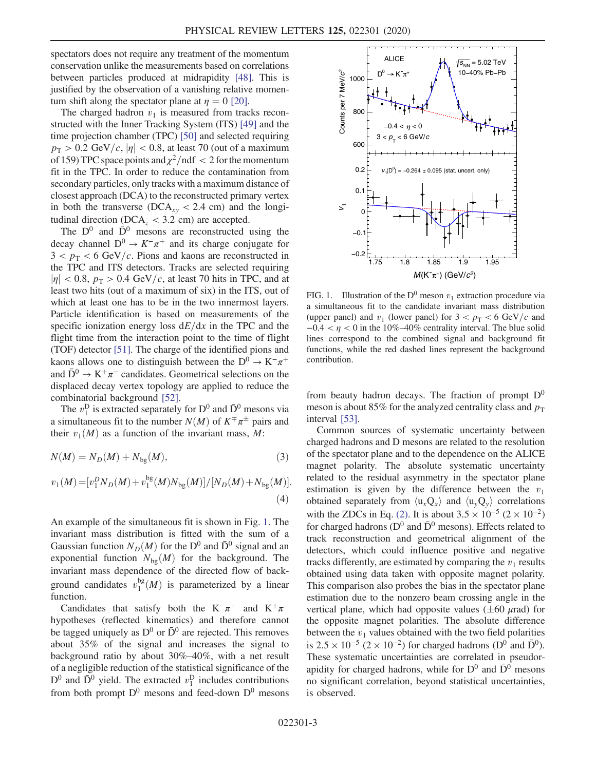spectators does not require any treatment of the momentum conservation unlike the measurements based on correlations between particles produced at midrapidity [\[48\]](#page-6-20). This is justified by the observation of a vanishing relative momentum shift along the spectator plane at  $\eta = 0$  [\[20\]](#page-6-1).

The charged hadron  $v_1$  is measured from tracks reconstructed with the Inner Tracking System (ITS) [\[49\]](#page-6-21) and the time projection chamber (TPC) [\[50\]](#page-6-22) and selected requiring  $p_{\rm T} > 0.2$  GeV/c,  $|\eta| < 0.8$ , at least 70 (out of a maximum of 159) TPC space points and  $\chi^2$ /ndf < 2 for the momentum fit in the TPC. In order to reduce the contamination from secondary particles, only tracks with a maximum distance of closest approach (DCA) to the reconstructed primary vertex in both the transverse (DCA<sub>xy</sub> < 2.4 cm) and the longitudinal direction ( $DCA<sub>z</sub> < 3.2$  cm) are accepted.

The  $D^0$  and  $\bar{D}^0$  mesons are reconstructed using the decay channel  $D^0 \rightarrow K^-\pi^+$  and its charge conjugate for  $3 < p_{\rm T} < 6$  GeV/c. Pions and kaons are reconstructed in the TPC and ITS detectors. Tracks are selected requiring  $|\eta|$  < 0.8,  $p_T > 0.4$  GeV/c, at least 70 hits in TPC, and at least two hits (out of a maximum of six) in the ITS, out of which at least one has to be in the two innermost layers. Particle identification is based on measurements of the specific ionization energy loss  $dE/dx$  in the TPC and the flight time from the interaction point to the time of flight (TOF) detector [\[51\]](#page-7-0). The charge of the identified pions and kaons allows one to distinguish between the D<sup>0</sup>  $\rightarrow$  K<sup>-</sup> $\pi$ <sup>+</sup> and  $\bar{D}^0 \to K^+\pi^-$  candidates. Geometrical selections on the displaced decay vertex topology are applied to reduce the combinatorial background [\[52\]](#page-7-1).

<span id="page-2-1"></span>The  $v_1^D$  is extracted separately for  $D^0$  and  $\bar{D}^0$  mesons via a simultaneous fit to the number  $N(M)$  of  $K^{\pm} \pi^{\pm}$  pairs and their  $v_1(M)$  as a function of the invariant mass, M:

$$
N(M) = N_D(M) + N_{\text{bg}}(M),\tag{3}
$$

<span id="page-2-2"></span>
$$
v_1(M) = [v_1^D N_D(M) + v_1^{\text{bg}}(M)N_{\text{bg}}(M)]/[N_D(M) + N_{\text{bg}}(M)].
$$
\n(4)

An example of the simultaneous fit is shown in Fig. [1.](#page-2-0) The invariant mass distribution is fitted with the sum of a Gaussian function  $N_D(M)$  for the D<sup>0</sup> and  $\bar{D}^0$  signal and an exponential function  $N_{bg}(M)$  for the background. The invariant mass dependence of the directed flow of background candidates  $v_1^{\text{bg}}(M)$  is parameterized by a linear function.

Candidates that satisfy both the K<sup>-</sup> $\pi$ <sup>+</sup> and K<sup>+</sup> $\pi$ <sup>-</sup> hypotheses (reflected kinematics) and therefore cannot be tagged uniquely as  $D^0$  or  $\bar{D}^0$  are rejected. This removes about 35% of the signal and increases the signal to background ratio by about 30%–40%, with a net result of a negligible reduction of the statistical significance of the  $D^0$  and  $\overline{D}^0$  yield. The extracted  $v_1^D$  includes contributions from both prompt  $D^0$  mesons and feed-down  $D^0$  mesons

<span id="page-2-0"></span>

FIG. 1. Illustration of the D<sup>0</sup> meson  $v_1$  extraction procedure via a simultaneous fit to the candidate invariant mass distribution (upper panel) and  $v_1$  (lower panel) for  $3 < p_T < 6$  GeV/c and  $-0.4 < \eta < 0$  in the 10%–40% centrality interval. The blue solid lines correspond to the combined signal and background fit functions, while the red dashed lines represent the background contribution.

from beauty hadron decays. The fraction of prompt  $D^0$ meson is about 85% for the analyzed centrality class and  $p_T$ interval [\[53\]](#page-7-2).

Common sources of systematic uncertainty between charged hadrons and D mesons are related to the resolution of the spectator plane and to the dependence on the ALICE magnet polarity. The absolute systematic uncertainty related to the residual asymmetry in the spectator plane estimation is given by the difference between the  $v_1$ obtained separately from  $\langle u_xQ_x \rangle$  and  $\langle u_yQ_y \rangle$  correlations with the ZDCs in Eq. [\(2\)](#page-1-0). It is about  $3.5 \times 10^{-5}$  ( $2 \times 10^{-2}$ ) for charged hadrons ( $D^0$  and  $\bar{D}^0$  mesons). Effects related to track reconstruction and geometrical alignment of the detectors, which could influence positive and negative tracks differently, are estimated by comparing the  $v_1$  results obtained using data taken with opposite magnet polarity. This comparison also probes the bias in the spectator plane estimation due to the nonzero beam crossing angle in the vertical plane, which had opposite values  $(\pm 60 \mu \text{rad})$  for the opposite magnet polarities. The absolute difference between the  $v_1$  values obtained with the two field polarities is  $2.5 \times 10^{-5}$  (2 × 10<sup>-2</sup>) for charged hadrons (D<sup>0</sup> and  $\overline{D}^{0}$ ). These systematic uncertainties are correlated in pseudorapidity for charged hadrons, while for  $D^0$  and  $\bar{D}^0$  mesons no significant correlation, beyond statistical uncertainties, is observed.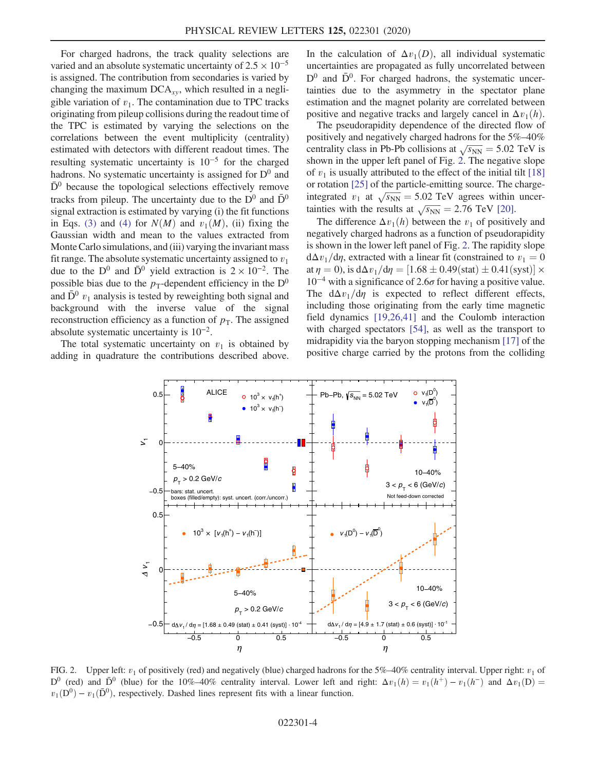For charged hadrons, the track quality selections are varied and an absolute systematic uncertainty of  $2.5 \times 10^{-5}$ is assigned. The contribution from secondaries is varied by changing the maximum  $DCA_{xy}$ , which resulted in a negligible variation of  $v_1$ . The contamination due to TPC tracks originating from pileup collisions during the readout time of the TPC is estimated by varying the selections on the correlations between the event multiplicity (centrality) estimated with detectors with different readout times. The resulting systematic uncertainty is  $10^{-5}$  for the charged hadrons. No systematic uncertainty is assigned for  $D^0$  and  $\bar{D}^0$  because the topological selections effectively remove tracks from pileup. The uncertainty due to the  $D^0$  and  $\bar{D}^0$ signal extraction is estimated by varying (i) the fit functions in Eqs. [\(3\)](#page-2-1) and [\(4\)](#page-2-2) for  $N(M)$  and  $v_1(M)$ , (ii) fixing the Gaussian width and mean to the values extracted from Monte Carlo simulations, and (iii) varying the invariant mass fit range. The absolute systematic uncertainty assigned to  $v_1$ due to the D<sup>0</sup> and  $\bar{D}^0$  yield extraction is 2 × 10<sup>-2</sup>. The possible bias due to the  $p_T$ -dependent efficiency in the  $D^0$ and  $\bar{D}^0$   $v_1$  analysis is tested by reweighting both signal and background with the inverse value of the signal reconstruction efficiency as a function of  $p<sub>T</sub>$ . The assigned absolute systematic uncertainty is  $10^{-2}$ .

<span id="page-3-0"></span>The total systematic uncertainty on  $v_1$  is obtained by adding in quadrature the contributions described above. In the calculation of  $\Delta v_1(D)$ , all individual systematic uncertainties are propagated as fully uncorrelated between  $D^0$  and  $\bar{D}^0$ . For charged hadrons, the systematic uncertainties due to the asymmetry in the spectator plane estimation and the magnet polarity are correlated between positive and negative tracks and largely cancel in  $\Delta v_1(h)$ .

The pseudorapidity dependence of the directed flow of positively and negatively charged hadrons for the 5%–40% centrality class in Pb-Pb collisions at  $\sqrt{s_{NN}} = 5.02$  TeV is shown in the upper left panel of Fig. [2.](#page-3-0) The negative slope of  $v_1$  is usually attributed to the effect of the initial tilt [\[18\]](#page-6-5) or rotation [\[25\]](#page-6-23) of the particle-emitting source. The chargeintegrated  $v_1$  at  $\sqrt{s_{NN}} = 5.02$  TeV agrees within uncertainties with the results at  $\sqrt{s_{NN}} = 2.76$  TeV [\[20\]](#page-6-1).

The difference  $\Delta v_1(h)$  between the  $v_1$  of positively and negatively charged hadrons as a function of pseudorapidity is shown in the lower left panel of Fig. [2](#page-3-0). The rapidity slope  $d\Delta v_1/d\eta$ , extracted with a linear fit (constrained to  $v_1 = 0$ at  $\eta = 0$ ), is d $\Delta v_1/d\eta = [1.68 \pm 0.49(\text{stat}) \pm 0.41(\text{syst})] \times$  $10^{-4}$  with a significance of 2.6 $\sigma$  for having a positive value. The  $d\Delta v_1/d\eta$  is expected to reflect different effects, including those originating from the early time magnetic field dynamics [\[19,26,41\]](#page-6-4) and the Coulomb interaction with charged spectators [\[54\]](#page-7-3), as well as the transport to midrapidity via the baryon stopping mechanism [\[17\]](#page-6-0) of the positive charge carried by the protons from the colliding



FIG. 2. Upper left:  $v_1$  of positively (red) and negatively (blue) charged hadrons for the 5%–40% centrality interval. Upper right:  $v_1$  of D<sup>0</sup> (red) and  $\bar{D}^0$  (blue) for the 10%–40% centrality interval. Lower left and right:  $\Delta v_1(h) = v_1(h^+) - v_1(h^-)$  and  $\Delta v_1(D) =$  $v_1(D^0) - v_1(\bar{D}^0)$ , respectively. Dashed lines represent fits with a linear function.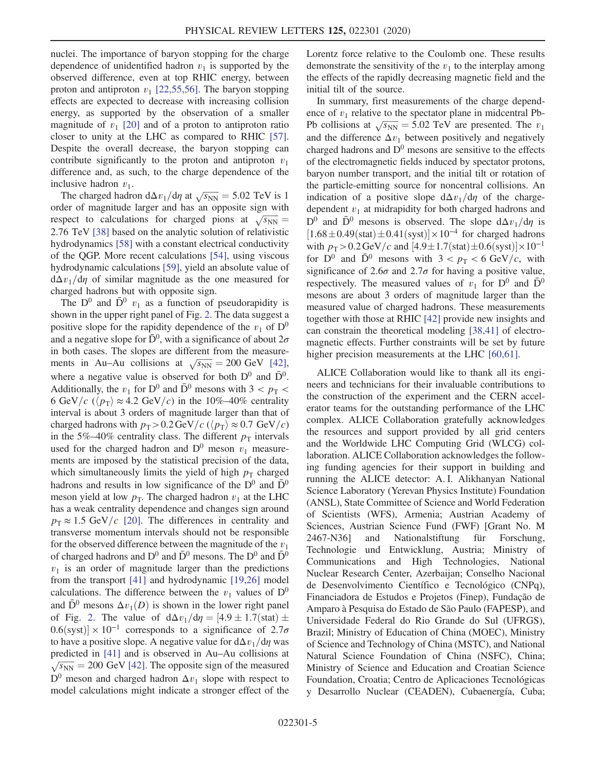nuclei. The importance of baryon stopping for the charge dependence of unidentified hadron  $v_1$  is supported by the observed difference, even at top RHIC energy, between proton and antiproton  $v_1$  [\[22,55,56\]](#page-6-3). The baryon stopping effects are expected to decrease with increasing collision energy, as supported by the observation of a smaller magnitude of  $v_1$  [\[20\]](#page-6-1) and of a proton to antiproton ratio closer to unity at the LHC as compared to RHIC [\[57\]](#page-7-4). Despite the overall decrease, the baryon stopping can contribute significantly to the proton and antiproton  $v_1$ difference and, as such, to the charge dependence of the inclusive hadron  $v_1$ .

The charged hadron  $d\Delta v_1/d\eta$  at  $\sqrt{s_{NN}} = 5.02$  TeV is 1. order of magnitude larger and has an opposite sign with respect to calculations for charged pions at  $\sqrt{s_{NN}} =$ 2.76 TeV [\[38\]](#page-6-12) based on the analytic solution of relativistic hydrodynamics [\[58\]](#page-7-5) with a constant electrical conductivity of the QGP. More recent calculations [\[54\],](#page-7-3) using viscous hydrodynamic calculations [\[59\]](#page-7-6), yield an absolute value of  $d\Delta v_1/d\eta$  of similar magnitude as the one measured for charged hadrons but with opposite sign.

The  $D^0$  and  $\bar{D}^0$   $v_1$  as a function of pseudorapidity is shown in the upper right panel of Fig. [2](#page-3-0). The data suggest a positive slope for the rapidity dependence of the  $v_1$  of  $D^0$ and a negative slope for  $\bar{D}^0$ , with a significance of about  $2\sigma$ in both cases. The slopes are different from the measurements in Au–Au collisions at  $\sqrt{s_{NN}} = 200 \text{ GeV}$  [\[42\]](#page-6-15), where a negative value is observed for both  $D^0$  and  $\bar{D}^0$ . Additionally, the  $v_1$  for D<sup>0</sup> and  $\bar{D}^0$  mesons with 3 <  $p_T$  < 6 GeV/c ( $\langle p_{\rm T} \rangle \approx 4.2$  GeV/c) in the 10%–40% centrality interval is about 3 orders of magnitude larger than that of charged hadrons with  $p_T > 0.2 \,\text{GeV}/c$  ( $\langle p_T \rangle \approx 0.7 \,\text{GeV}/c$ ) in the 5%–40% centrality class. The different  $p<sub>T</sub>$  intervals used for the charged hadron and  $D^0$  meson  $v_1$  measurements are imposed by the statistical precision of the data, which simultaneously limits the yield of high  $p<sub>T</sub>$  charged hadrons and results in low significance of the  $D^0$  and  $\bar{D}^0$ meson yield at low  $p_T$ . The charged hadron  $v_1$  at the LHC has a weak centrality dependence and changes sign around  $p_{\rm T} \approx 1.5$  GeV/c [\[20\]](#page-6-1). The differences in centrality and transverse momentum intervals should not be responsible for the observed difference between the magnitude of the  $v_1$ of charged hadrons and  $D^0$  and  $\bar{D}^0$  mesons. The  $D^0$  and  $\bar{D}^0$  $v_1$  is an order of magnitude larger than the predictions from the transport [\[41\]](#page-6-14) and hydrodynamic [\[19,26\]](#page-6-4) model calculations. The difference between the  $v_1$  values of  $D^0$ and  $\bar{D}^0$  mesons  $\Delta v_1(D)$  is shown in the lower right panel of Fig. [2](#page-3-0). The value of  $d\Delta v_1/d\eta = [4.9 \pm 1.7(\text{stat}) \pm$  $0.6$ (syst) × 10<sup>-1</sup> corresponds to a significance of 2.7 $\sigma$ to have a positive slope. A negative value for  $d\Delta v_1/d\eta$  was predicted in [\[41\]](#page-6-14) and is observed in Au–Au collisions at  $\sqrt{s_{NN}} = 200$  GeV [\[42\].](#page-6-15) The opposite sign of the measured  $D^0$  meson and charged hadron  $\Delta v_1$  slope with respect to model calculations might indicate a stronger effect of the Lorentz force relative to the Coulomb one. These results demonstrate the sensitivity of the  $v_1$  to the interplay among the effects of the rapidly decreasing magnetic field and the initial tilt of the source.

In summary, first measurements of the charge dependence of  $v_1$  relative to the spectator plane in midcentral Pb-Pb collisions at  $\sqrt{s_{NN}} = 5.02 \text{ TeV}$  are presented. The  $v_1$ and the difference  $\Delta v_1$  between positively and negatively charged hadrons and  $D^0$  mesons are sensitive to the effects of the electromagnetic fields induced by spectator protons, baryon number transport, and the initial tilt or rotation of the particle-emitting source for noncentral collisions. An indication of a positive slope  $d\Delta v_1/d\eta$  of the chargedependent  $v_1$  at midrapidity for both charged hadrons and  $D^0$  and  $\bar{D}^0$  mesons is observed. The slope  $d\Delta v_1/d\eta$  is  $[1.68 \pm 0.49(stat) \pm 0.41(syst)] \times 10^{-4}$  for charged hadrons with  $p_T > 0.2 \text{ GeV}/c$  and  $[4.9 \pm 1.7 \text{(stat)} \pm 0.6 \text{(syst)}] \times 10^{-1}$ for  $D^0$  and  $\bar{D}^0$  mesons with  $3 < p_T < 6$  GeV/c, with significance of 2.6 $\sigma$  and 2.7 $\sigma$  for having a positive value, respectively. The measured values of  $v_1$  for  $D^0$  and  $\bar{D}^0$ mesons are about 3 orders of magnitude larger than the measured value of charged hadrons. These measurements together with those at RHIC [\[42\]](#page-6-15) provide new insights and can constrain the theoretical modeling [\[38,41\]](#page-6-12) of electromagnetic effects. Further constraints will be set by future higher precision measurements at the LHC [\[60,61\]](#page-7-7).

ALICE Collaboration would like to thank all its engineers and technicians for their invaluable contributions to the construction of the experiment and the CERN accelerator teams for the outstanding performance of the LHC complex. ALICE Collaboration gratefully acknowledges the resources and support provided by all grid centers and the Worldwide LHC Computing Grid (WLCG) collaboration. ALICE Collaboration acknowledges the following funding agencies for their support in building and running the ALICE detector: A. I. Alikhanyan National Science Laboratory (Yerevan Physics Institute) Foundation (ANSL), State Committee of Science and World Federation of Scientists (WFS), Armenia; Austrian Academy of Sciences, Austrian Science Fund (FWF) [Grant No. M 2467-N36] and Nationalstiftung für Forschung, Technologie und Entwicklung, Austria; Ministry of Communications and High Technologies, National Nuclear Research Center, Azerbaijan; Conselho Nacional de Desenvolvimento Científico e Tecnológico (CNPq), Financiadora de Estudos e Projetos (Finep), Fundação de Amparo `a Pesquisa do Estado de São Paulo (FAPESP), and Universidade Federal do Rio Grande do Sul (UFRGS), Brazil; Ministry of Education of China (MOEC), Ministry of Science and Technology of China (MSTC), and National Natural Science Foundation of China (NSFC), China; Ministry of Science and Education and Croatian Science Foundation, Croatia; Centro de Aplicaciones Tecnológicas y Desarrollo Nuclear (CEADEN), Cubaenergía, Cuba;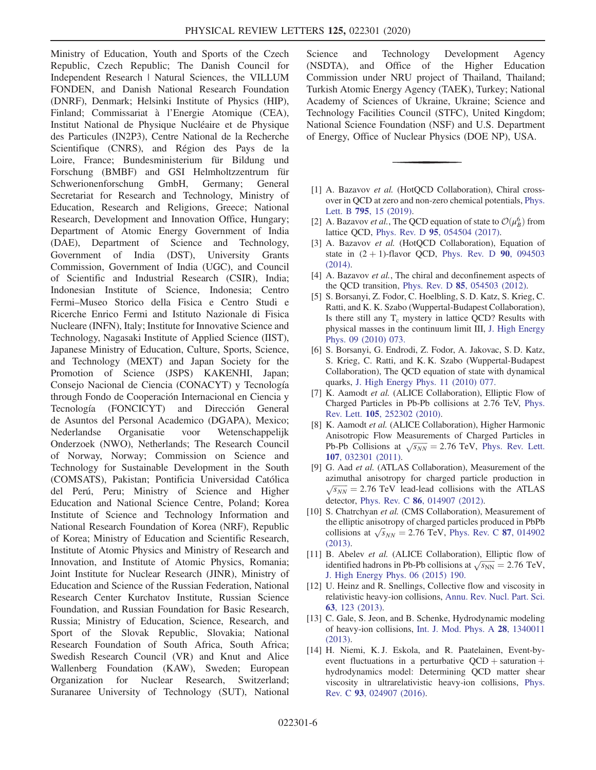Ministry of Education, Youth and Sports of the Czech Republic, Czech Republic; The Danish Council for Independent Research | Natural Sciences, the VILLUM FONDEN, and Danish National Research Foundation (DNRF), Denmark; Helsinki Institute of Physics (HIP), Finland; Commissariat à l'Energie Atomique (CEA), Institut National de Physique Nucléaire et de Physique des Particules (IN2P3), Centre National de la Recherche Scientifique (CNRS), and Région des Pays de la Loire, France; Bundesministerium für Bildung und Forschung (BMBF) and GSI Helmholtzzentrum für Schwerionenforschung GmbH, Germany; General Secretariat for Research and Technology, Ministry of Education, Research and Religions, Greece; National Research, Development and Innovation Office, Hungary; Department of Atomic Energy Government of India (DAE), Department of Science and Technology, Government of India (DST), University Grants Commission, Government of India (UGC), and Council of Scientific and Industrial Research (CSIR), India; Indonesian Institute of Science, Indonesia; Centro Fermi–Museo Storico della Fisica e Centro Studi e Ricerche Enrico Fermi and Istituto Nazionale di Fisica Nucleare (INFN), Italy; Institute for Innovative Science and Technology, Nagasaki Institute of Applied Science (IIST), Japanese Ministry of Education, Culture, Sports, Science, and Technology (MEXT) and Japan Society for the Promotion of Science (JSPS) KAKENHI, Japan; Consejo Nacional de Ciencia (CONACYT) y Tecnología through Fondo de Cooperación Internacional en Ciencia y Tecnología (FONCICYT) and Dirección General de Asuntos del Personal Academico (DGAPA), Mexico; Nederlandse Organisatie voor Wetenschappelijk Onderzoek (NWO), Netherlands; The Research Council of Norway, Norway; Commission on Science and Technology for Sustainable Development in the South (COMSATS), Pakistan; Pontificia Universidad Católica del Perú, Peru; Ministry of Science and Higher Education and National Science Centre, Poland; Korea Institute of Science and Technology Information and National Research Foundation of Korea (NRF), Republic of Korea; Ministry of Education and Scientific Research, Institute of Atomic Physics and Ministry of Research and Innovation, and Institute of Atomic Physics, Romania; Joint Institute for Nuclear Research (JINR), Ministry of Education and Science of the Russian Federation, National Research Center Kurchatov Institute, Russian Science Foundation, and Russian Foundation for Basic Research, Russia; Ministry of Education, Science, Research, and Sport of the Slovak Republic, Slovakia; National Research Foundation of South Africa, South Africa; Swedish Research Council (VR) and Knut and Alice Wallenberg Foundation (KAW), Sweden; European Organization for Nuclear Research, Switzerland; Suranaree University of Technology (SUT), National

Science and Technology Development Agency (NSDTA), and Office of the Higher Education Commission under NRU project of Thailand, Thailand; Turkish Atomic Energy Agency (TAEK), Turkey; National Academy of Sciences of Ukraine, Ukraine; Science and Technology Facilities Council (STFC), United Kingdom; National Science Foundation (NSF) and U.S. Department of Energy, Office of Nuclear Physics (DOE NP), USA.

- <span id="page-5-0"></span>[1] A. Bazavov et al. (HotOCD Collaboration), Chiral crossover in QCD at zero and non-zero chemical potentials, [Phys.](https://doi.org/10.1016/j.physletb.2019.05.013) Lett. B 795[, 15 \(2019\)](https://doi.org/10.1016/j.physletb.2019.05.013).
- [2] A. Bazavov *et al.*, The QCD equation of state to  $\mathcal{O}(\mu_B^6)$  from lattice QCD, Phys. Rev. D 95[, 054504 \(2017\)](https://doi.org/10.1103/PhysRevD.95.054504).
- [3] A. Bazavov et al. (HotQCD Collaboration), Equation of state in  $(2 + 1)$ -flavor QCD, [Phys. Rev. D](https://doi.org/10.1103/PhysRevD.90.094503) 90, 094503 [\(2014\).](https://doi.org/10.1103/PhysRevD.90.094503)
- [4] A. Bazavov et al., The chiral and deconfinement aspects of the QCD transition, Phys. Rev. D 85[, 054503 \(2012\).](https://doi.org/10.1103/PhysRevD.85.054503)
- [5] S. Borsanyi, Z. Fodor, C. Hoelbling, S. D. Katz, S. Krieg, C. Ratti, and K. K. Szabo (Wuppertal-Budapest Collaboration), Is there still any  $T_c$  mystery in lattice QCD? Results with physical masses in the continuum limit III, [J. High Energy](https://doi.org/10.1007/JHEP09(2010)073) [Phys. 09 \(2010\) 073.](https://doi.org/10.1007/JHEP09(2010)073)
- [6] S. Borsanyi, G. Endrodi, Z. Fodor, A. Jakovac, S. D. Katz, S. Krieg, C. Ratti, and K. K. Szabo (Wuppertal-Budapest Collaboration), The QCD equation of state with dynamical quarks, [J. High Energy Phys. 11 \(2010\) 077.](https://doi.org/10.1007/JHEP11(2010)077)
- <span id="page-5-1"></span>[7] K. Aamodt et al. (ALICE Collaboration), Elliptic Flow of Charged Particles in Pb-Pb collisions at 2.76 TeV, [Phys.](https://doi.org/10.1103/PhysRevLett.105.252302) Rev. Lett. 105[, 252302 \(2010\).](https://doi.org/10.1103/PhysRevLett.105.252302)
- [8] K. Aamodt et al. (ALICE Collaboration), Higher Harmonic Anisotropic Flow Measurements of Charged Particles in Pb-Pb Collisions at  $\sqrt{s_{NN}} = 2.76$  TeV, [Phys. Rev. Lett.](https://doi.org/10.1103/PhysRevLett.107.032301) 107[, 032301 \(2011\).](https://doi.org/10.1103/PhysRevLett.107.032301)
- [9] G. Aad et al. (ATLAS Collaboration), Measurement of the azimuthal anisotropy for charged particle production in  $\sqrt{s_{NN}}$  = 2.76 TeV lead-lead collisions with the ATLAS detector, Phys. Rev. C 86[, 014907 \(2012\).](https://doi.org/10.1103/PhysRevC.86.014907)
- [10] S. Chatrchyan et al. (CMS Collaboration), Measurement of the elliptic anisotropy of charged particles produced in PbPb collisions at  $\sqrt{s_{NN}}$  = 2.76 TeV, [Phys. Rev. C](https://doi.org/10.1103/PhysRevC.87.014902) 87, 014902 [\(2013\).](https://doi.org/10.1103/PhysRevC.87.014902)
- [11] B. Abelev et al. (ALICE Collaboration), Elliptic flow of identified hadrons in Pb-Pb collisions at  $\sqrt{s_{NN}} = 2.76 \text{ TeV}$ , [J. High Energy Phys. 06 \(2015\) 190.](https://doi.org/10.1007/JHEP06(2015)190)
- <span id="page-5-2"></span>[12] U. Heinz and R. Snellings, Collective flow and viscosity in relativistic heavy-ion collisions, [Annu. Rev. Nucl. Part. Sci.](https://doi.org/10.1146/annurev-nucl-102212-170540) 63[, 123 \(2013\).](https://doi.org/10.1146/annurev-nucl-102212-170540)
- [13] C. Gale, S. Jeon, and B. Schenke, Hydrodynamic modeling of heavy-ion collisions, [Int. J. Mod. Phys. A](https://doi.org/10.1142/S0217751X13400113) 28, 1340011 [\(2013\).](https://doi.org/10.1142/S0217751X13400113)
- [14] H. Niemi, K. J. Eskola, and R. Paatelainen, Event-byevent fluctuations in a perturbative  $QCD$  + saturation + hydrodynamics model: Determining QCD matter shear viscosity in ultrarelativistic heavy-ion collisions, [Phys.](https://doi.org/10.1103/PhysRevC.93.024907) Rev. C 93[, 024907 \(2016\).](https://doi.org/10.1103/PhysRevC.93.024907)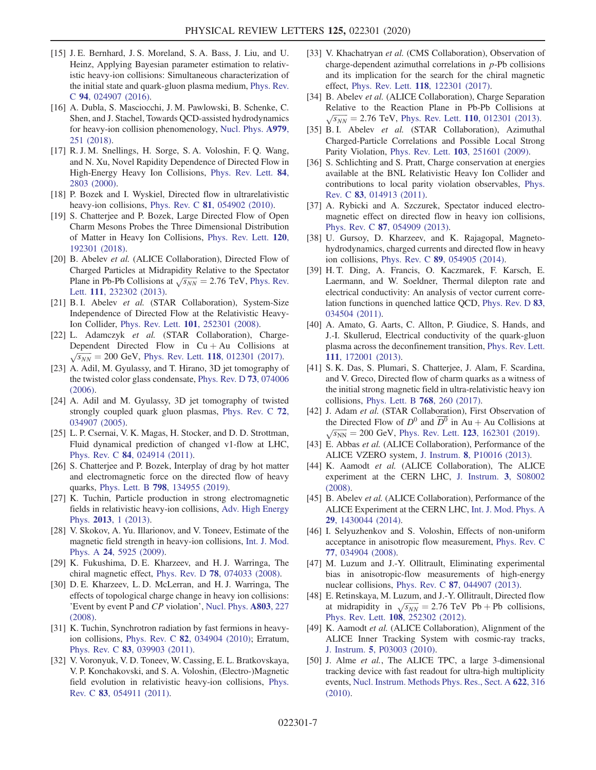- [15] J. E. Bernhard, J. S. Moreland, S. A. Bass, J. Liu, and U. Heinz, Applying Bayesian parameter estimation to relativistic heavy-ion collisions: Simultaneous characterization of the initial state and quark-gluon plasma medium, [Phys. Rev.](https://doi.org/10.1103/PhysRevC.94.024907) C 94[, 024907 \(2016\).](https://doi.org/10.1103/PhysRevC.94.024907)
- [16] A. Dubla, S. Masciocchi, J. M. Pawlowski, B. Schenke, C. Shen, and J. Stachel, Towards QCD-assisted hydrodynamics for heavy-ion collision phenomenology, [Nucl. Phys.](https://doi.org/10.1016/j.nuclphysa.2018.09.046) A979, [251 \(2018\)](https://doi.org/10.1016/j.nuclphysa.2018.09.046).
- <span id="page-6-0"></span>[17] R. J. M. Snellings, H. Sorge, S. A. Voloshin, F. Q. Wang, and N. Xu, Novel Rapidity Dependence of Directed Flow in High-Energy Heavy Ion Collisions, [Phys. Rev. Lett.](https://doi.org/10.1103/PhysRevLett.84.2803) 84, [2803 \(2000\)](https://doi.org/10.1103/PhysRevLett.84.2803).
- <span id="page-6-5"></span>[18] P. Bozek and I. Wyskiel, Directed flow in ultrarelativistic heavy-ion collisions, Phys. Rev. C 81[, 054902 \(2010\).](https://doi.org/10.1103/PhysRevC.81.054902)
- <span id="page-6-4"></span>[19] S. Chatterjee and P. Bozek, Large Directed Flow of Open Charm Mesons Probes the Three Dimensional Distribution of Matter in Heavy Ion Collisions, [Phys. Rev. Lett.](https://doi.org/10.1103/PhysRevLett.120.192301) 120, [192301 \(2018\).](https://doi.org/10.1103/PhysRevLett.120.192301)
- <span id="page-6-1"></span>[20] B. Abelev et al. (ALICE Collaboration), Directed Flow of Charged Particles at Midrapidity Relative to the Spectator Plane in Pb-Pb Collisions at  $\sqrt{s_{NN}} = 2.76$  TeV, [Phys. Rev.](https://doi.org/10.1103/PhysRevLett.111.232302) Lett. 111[, 232302 \(2013\)](https://doi.org/10.1103/PhysRevLett.111.232302).
- <span id="page-6-2"></span>[21] B. I. Abelev et al. (STAR Collaboration), System-Size Independence of Directed Flow at the Relativistic Heavy-Ion Collider, Phys. Rev. Lett. 101[, 252301 \(2008\).](https://doi.org/10.1103/PhysRevLett.101.252301)
- <span id="page-6-3"></span>[22] L. Adamczyk et al. (STAR Collaboration), Charge-Dependent Directed Flow in Cu + Au Collisions at  $\sqrt{s_{NN}}$  = 200 GeV, Phys. Rev. Lett. **118**[, 012301 \(2017\).](https://doi.org/10.1103/PhysRevLett.118.012301)
- [23] A. Adil, M. Gyulassy, and T. Hirano, 3D jet tomography of the twisted color glass condensate, [Phys. Rev. D](https://doi.org/10.1103/PhysRevD.73.074006) 73, 074006 [\(2006\).](https://doi.org/10.1103/PhysRevD.73.074006)
- [24] A. Adil and M. Gyulassy, 3D jet tomography of twisted strongly coupled quark gluon plasmas, [Phys. Rev. C](https://doi.org/10.1103/PhysRevC.72.034907) 72, [034907 \(2005\).](https://doi.org/10.1103/PhysRevC.72.034907)
- <span id="page-6-23"></span>[25] L. P. Csernai, V. K. Magas, H. Stocker, and D. D. Strottman, Fluid dynamical prediction of changed v1-flow at LHC, Phys. Rev. C 84[, 024914 \(2011\).](https://doi.org/10.1103/PhysRevC.84.024914)
- <span id="page-6-13"></span>[26] S. Chatterjee and P. Bozek, Interplay of drag by hot matter and electromagnetic force on the directed flow of heavy quarks, Phys. Lett. B 798[, 134955 \(2019\)](https://doi.org/10.1016/j.physletb.2019.134955).
- <span id="page-6-6"></span>[27] K. Tuchin, Particle production in strong electromagnetic fields in relativistic heavy-ion collisions, [Adv. High Energy](https://doi.org/10.1155/2013/490495) Phys. 2013[, 1 \(2013\).](https://doi.org/10.1155/2013/490495)
- [28] V. Skokov, A. Yu. Illarionov, and V. Toneev, Estimate of the magnetic field strength in heavy-ion collisions, [Int. J. Mod.](https://doi.org/10.1142/S0217751X09047570) Phys. A 24[, 5925 \(2009\).](https://doi.org/10.1142/S0217751X09047570)
- <span id="page-6-7"></span>[29] K. Fukushima, D. E. Kharzeev, and H. J. Warringa, The chiral magnetic effect, Phys. Rev. D 78[, 074033 \(2008\).](https://doi.org/10.1103/PhysRevD.78.074033)
- [30] D. E. Kharzeev, L. D. McLerran, and H. J. Warringa, The effects of topological charge change in heavy ion collisions: 'Event by event P and CP violation', [Nucl. Phys.](https://doi.org/10.1016/j.nuclphysa.2008.02.298) A803, 227 [\(2008\).](https://doi.org/10.1016/j.nuclphysa.2008.02.298)
- [31] K. Tuchin, Synchrotron radiation by fast fermions in heavyion collisions, Phys. Rev. C 82[, 034904 \(2010\);](https://doi.org/10.1103/PhysRevC.82.034904) Erratum, Phys. Rev. C 83[, 039903 \(2011\).](https://doi.org/10.1103/PhysRevC.83.039903)
- [32] V. Voronyuk, V. D. Toneev, W. Cassing, E. L. Bratkovskaya, V. P. Konchakovski, and S. A. Voloshin, (Electro-)Magnetic field evolution in relativistic heavy-ion collisions, [Phys.](https://doi.org/10.1103/PhysRevC.83.054911) Rev. C 83[, 054911 \(2011\).](https://doi.org/10.1103/PhysRevC.83.054911)
- <span id="page-6-8"></span>[33] V. Khachatryan et al. (CMS Collaboration), Observation of charge-dependent azimuthal correlations in  $p$ -Pb collisions and its implication for the search for the chiral magnetic effect, Phys. Rev. Lett. 118[, 122301 \(2017\)](https://doi.org/10.1103/PhysRevLett.118.122301).
- [34] B. Abelev et al. (ALICE Collaboration), Charge Separation Relative to the Reaction Plane in Pb-Pb Collisions at  $\sqrt{s_{NN}}$  = 2.76 TeV, Phys. Rev. Lett. 110[, 012301 \(2013\)](https://doi.org/10.1103/PhysRevLett.110.012301).
- [35] B. I. Abelev et al. (STAR Collaboration), Azimuthal Charged-Particle Correlations and Possible Local Strong Parity Violation, Phys. Rev. Lett. 103[, 251601 \(2009\)](https://doi.org/10.1103/PhysRevLett.103.251601).
- <span id="page-6-9"></span>[36] S. Schlichting and S. Pratt, Charge conservation at energies available at the BNL Relativistic Heavy Ion Collider and contributions to local parity violation observables, [Phys.](https://doi.org/10.1103/PhysRevC.83.014913) Rev. C 83[, 014913 \(2011\).](https://doi.org/10.1103/PhysRevC.83.014913)
- <span id="page-6-10"></span>[37] A. Rybicki and A. Szczurek, Spectator induced electromagnetic effect on directed flow in heavy ion collisions, Phys. Rev. C 87[, 054909 \(2013\).](https://doi.org/10.1103/PhysRevC.87.054909)
- <span id="page-6-12"></span>[38] U. Gursoy, D. Kharzeev, and K. Rajagopal, Magnetohydrodynamics, charged currents and directed flow in heavy ion collisions, Phys. Rev. C 89[, 054905 \(2014\)](https://doi.org/10.1103/PhysRevC.89.054905).
- <span id="page-6-11"></span>[39] H. T. Ding, A. Francis, O. Kaczmarek, F. Karsch, E. Laermann, and W. Soeldner, Thermal dilepton rate and electrical conductivity: An analysis of vector current correlation functions in quenched lattice QCD, [Phys. Rev. D](https://doi.org/10.1103/PhysRevD.83.034504) 83, [034504 \(2011\).](https://doi.org/10.1103/PhysRevD.83.034504)
- [40] A. Amato, G. Aarts, C. Allton, P. Giudice, S. Hands, and J.-I. Skullerud, Electrical conductivity of the quark-gluon plasma across the deconfinement transition, [Phys. Rev. Lett.](https://doi.org/10.1103/PhysRevLett.111.172001) 111[, 172001 \(2013\).](https://doi.org/10.1103/PhysRevLett.111.172001)
- <span id="page-6-14"></span>[41] S. K. Das, S. Plumari, S. Chatterjee, J. Alam, F. Scardina, and V. Greco, Directed flow of charm quarks as a witness of the initial strong magnetic field in ultra-relativistic heavy ion collisions, [Phys. Lett. B](https://doi.org/10.1016/j.physletb.2017.02.046) 768, 260 (2017).
- <span id="page-6-15"></span>[42] J. Adam et al. (STAR Collaboration), First Observation of the Directed Flow of  $D^0$  and  $D^0$  in Au + Au Collisions at  $\sqrt{s_{NN}}$  = 200 GeV, Phys. Rev. Lett. 123[, 162301 \(2019\)](https://doi.org/10.1103/PhysRevLett.123.162301).
- <span id="page-6-16"></span>[43] E. Abbas et al. (ALICE Collaboration), Performance of the ALICE VZERO system, J. Instrum. 8[, P10016 \(2013\)](https://doi.org/10.1088/1748-0221/8/10/P10016).
- <span id="page-6-17"></span>[44] K. Aamodt et al. (ALICE Collaboration), The ALICE experiment at the CERN LHC, [J. Instrum.](https://doi.org/10.1088/1748-0221/3/08/S08002) 3, S08002 [\(2008\).](https://doi.org/10.1088/1748-0221/3/08/S08002)
- [45] B. Abelev et al. (ALICE Collaboration), Performance of the ALICE Experiment at the CERN LHC, [Int. J. Mod. Phys. A](https://doi.org/10.1142/S0217751X14300440) 29[, 1430044 \(2014\).](https://doi.org/10.1142/S0217751X14300440)
- <span id="page-6-18"></span>[46] I. Selyuzhenkov and S. Voloshin, Effects of non-uniform acceptance in anisotropic flow measurement, [Phys. Rev. C](https://doi.org/10.1103/PhysRevC.77.034904) 77[, 034904 \(2008\).](https://doi.org/10.1103/PhysRevC.77.034904)
- <span id="page-6-19"></span>[47] M. Luzum and J.-Y. Ollitrault, Eliminating experimental bias in anisotropic-flow measurements of high-energy nuclear collisions, Phys. Rev. C 87[, 044907 \(2013\).](https://doi.org/10.1103/PhysRevC.87.044907)
- <span id="page-6-20"></span>[48] E. Retinskaya, M. Luzum, and J.-Y. Ollitrault, Directed flow at midrapidity in  $\sqrt{s_{NN}}$  = 2.76 TeV Pb + Pb collisions, Phys. Rev. Lett. 108[, 252302 \(2012\).](https://doi.org/10.1103/PhysRevLett.108.252302)
- <span id="page-6-21"></span>[49] K. Aamodt et al. (ALICE Collaboration), Alignment of the ALICE Inner Tracking System with cosmic-ray tracks, J. Instrum. 5[, P03003 \(2010\)](https://doi.org/10.1088/1748-0221/5/03/P03003).
- <span id="page-6-22"></span>[50] J. Alme et al., The ALICE TPC, a large 3-dimensional tracking device with fast readout for ultra-high multiplicity events, [Nucl. Instrum. Methods Phys. Res., Sect. A](https://doi.org/10.1016/j.nima.2010.04.042) 622, 316 [\(2010\).](https://doi.org/10.1016/j.nima.2010.04.042)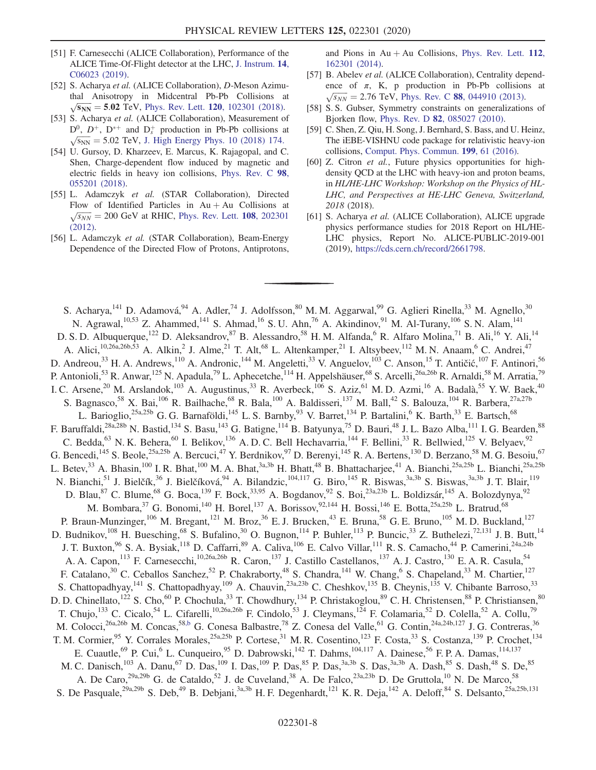- <span id="page-7-0"></span>[51] F. Carnesecchi (ALICE Collaboration), Performance of the ALICE Time-Of-Flight detector at the LHC, [J. Instrum.](https://doi.org/10.1088/1748-0221/14/06/C06023) 14, [C06023 \(2019\)](https://doi.org/10.1088/1748-0221/14/06/C06023).
- <span id="page-7-1"></span>[52] S. Acharya et al. (ALICE Collaboration), D-Meson Azimuthal Anisotropy in Midcentral Pb-Pb Collisions at  $\sqrt{s_{NN}}$  = 5.02 TeV, Phys. Rev. Lett. 120[, 102301 \(2018\)](https://doi.org/10.1103/PhysRevLett.120.102301).
- <span id="page-7-2"></span>[53] S. Acharya et al. (ALICE Collaboration), Measurement of  $D^0$ ,  $D^+$ ,  $D^{*+}$  and  $D_s^+$  production in Pb-Pb collisions at  $\sqrt{s_{NN}}$  = 5.02 TeV, [J. High Energy Phys. 10 \(2018\) 174.](https://doi.org/10.1007/JHEP10(2018)174)
- <span id="page-7-3"></span>[54] U. Gursoy, D. Kharzeev, E. Marcus, K. Rajagopal, and C. Shen, Charge-dependent flow induced by magnetic and electric fields in heavy ion collisions, [Phys. Rev. C](https://doi.org/10.1103/PhysRevC.98.055201) 98, [055201 \(2018\).](https://doi.org/10.1103/PhysRevC.98.055201)
- [55] L. Adamczyk et al. (STAR Collaboration), Directed Flow of Identified Particles in Au + Au Collisions at  $\sqrt{s_{NN}}$  = 200 GeV at RHIC, [Phys. Rev. Lett.](https://doi.org/10.1103/PhysRevLett.108.202301) **108**, 202301 [\(2012\).](https://doi.org/10.1103/PhysRevLett.108.202301)
- [56] L. Adamczyk et al. (STAR Collaboration), Beam-Energy Dependence of the Directed Flow of Protons, Antiprotons,

and Pions in  $Au + Au$  Collisions, [Phys. Rev. Lett.](https://doi.org/10.1103/PhysRevLett.112.162301) 112, [162301 \(2014\).](https://doi.org/10.1103/PhysRevLett.112.162301)

- <span id="page-7-4"></span>[57] B. Abelev et al. (ALICE Collaboration), Centrality dependence of  $\pi$ , K, p production in Pb-Pb collisions at  $\sqrt{s_{NN}} = 2.76$  TeV, Phys. Rev. C 88[, 044910 \(2013\)](https://doi.org/10.1103/PhysRevC.88.044910).
- <span id="page-7-5"></span>[58] S. S. Gubser, Symmetry constraints on generalizations of Bjorken flow, Phys. Rev. D 82[, 085027 \(2010\)](https://doi.org/10.1103/PhysRevD.82.085027).
- <span id="page-7-6"></span>[59] C. Shen, Z. Qiu, H. Song, J. Bernhard, S. Bass, and U. Heinz, The iEBE-VISHNU code package for relativistic heavy-ion collisions, [Comput. Phys. Commun.](https://doi.org/10.1016/j.cpc.2015.08.039) 199, 61 (2016).
- <span id="page-7-7"></span>[60] Z. Citron *et al.*, Future physics opportunities for highdensity QCD at the LHC with heavy-ion and proton beams, in HL/HE-LHC Workshop: Workshop on the Physics of HL-LHC, and Perspectives at HE-LHC Geneva, Switzerland, 2018 (2018).
- [61] S. Acharya et al. (ALICE Collaboration), ALICE upgrade physics performance studies for 2018 Report on HL/HE-LHC physics, Report No. ALICE-PUBLIC-2019-001 (2019), [https://cds.cern.ch/record/2661798.](https://cds.cern.ch/record/2661798)

<span id="page-7-8"></span>S. Acharya,<sup>141</sup> D. Adamová,<sup>94</sup> A. Adler,<sup>74</sup> J. Adolfsson,<sup>80</sup> M. M. Aggarwal,<sup>99</sup> G. Aglieri Rinella,<sup>33</sup> M. Agnello,<sup>30</sup> N. Agrawal,  $^{10,53}$  Z. Ahammed,  $^{141}$  S. Ahmad,  $^{16}$  S. U. Ahn,  $^{76}$  A. Akindinov,  $^{91}$  M. Al-Turany,  $^{106}$  S. N. Alam,  $^{141}$ D. S. D. Albuquerque,<sup>122</sup> D. Aleksandrov,<sup>87</sup> B. Alessandro,<sup>58</sup> H. M. Alfanda,<sup>6</sup> R. Alfaro Molina,<sup>71</sup> B. Ali,<sup>16</sup> Y. Ali,<sup>14</sup> A. Alici,<sup>10,26a,26b,53</sup> A. Alkin,<sup>2</sup> J. Alme,<sup>21</sup> T. Alt,<sup>68</sup> L. Altenkamper,<sup>21</sup> I. Altsybeev,<sup>112</sup> M. N. Anaam,<sup>6</sup> C. Andrei,<sup>47</sup> D. Andreou,<sup>33</sup> H. A. Andrews,<sup>110</sup> A. Andronic,<sup>144</sup> M. Angeletti,<sup>33</sup> V. Anguelov,<sup>103</sup> C. Anson,<sup>15</sup> T. Antičić,<sup>107</sup> F. Antinori,<sup>56</sup> P. Antonioli,<sup>53</sup> R. Anwar,<sup>125</sup> N. Apadula,<sup>79</sup> L. Aphecetche,<sup>114</sup> H. Appelshäuser,<sup>68</sup> S. Arcelli,<sup>26a,26b</sup> R. Arnaldi,<sup>58</sup> M. Arratia,<sup>79</sup> I. C. Arsene,<sup>20</sup> M. Arslandok,<sup>103</sup> A. Augustinus,<sup>33</sup> R. Averbeck,<sup>106</sup> S. Aziz,<sup>61</sup> M. D. Azmi,<sup>16</sup> A. Badalà,<sup>55</sup> Y. W. Baek,<sup>40</sup> S. Bagnasco,<sup>58</sup> X. Bai,<sup>106</sup> R. Bailhache,<sup>68</sup> R. Bala,<sup>100</sup> A. Baldisseri,<sup>137</sup> M. Ball,<sup>42</sup> S. Balouza,<sup>104</sup> R. Barbera,<sup>27a,27b</sup> L. Barioglio,<sup>25a,25b</sup> G. G. Barnaföldi,<sup>145</sup> L. S. Barnby,<sup>93</sup> V. Barret,<sup>134</sup> P. Bartalini,<sup>6</sup> K. Barth,<sup>33</sup> E. Bartsch,<sup>68</sup> F. Baruffaldi,<sup>28a,28b</sup> N. Bastid,<sup>134</sup> S. Basu,<sup>143</sup> G. Batigne,<sup>114</sup> B. Batyunya,<sup>75</sup> D. Bauri,<sup>48</sup> J. L. Bazo Alba,<sup>111</sup> I. G. Bearden,<sup>88</sup> C. Bedda,  $^{63}$  N. K. Behera,  $^{60}$  I. Belikov,  $^{136}$  A. D. C. Bell Hechavarria,  $^{144}$  F. Bellini,  $^{33}$  R. Bellwied,  $^{125}$  V. Belyaev,  $^{92}$ G. Bencedi,<sup>145</sup> S. Beole,<sup>25a,25b</sup> A. Bercuci,<sup>47</sup> Y. Berdnikov,<sup>97</sup> D. Berenyi,<sup>145</sup> R. A. Bertens,<sup>130</sup> D. Berzano,<sup>58</sup> M. G. Besoiu,<sup>67</sup> L. Betev,<sup>33</sup> A. Bhasin,<sup>100</sup> I. R. Bhat,<sup>100</sup> M. A. Bhat,<sup>3a,3b</sup> H. Bhatt,<sup>48</sup> B. Bhattacharjee,<sup>41</sup> A. Bianchi,<sup>25a,25b</sup> L. Bianchi,<sup>25a,25b</sup> N. Bianchi,<sup>51</sup> J. Bielčík,<sup>36</sup> J. Bielčíková,<sup>94</sup> A. Bilandzic,<sup>104,117</sup> G. Biro,<sup>145</sup> R. Biswas,<sup>3a,3b</sup> S. Biswas,<sup>3a,3b</sup> J. T. Blair,<sup>119</sup> D. Blau,<sup>87</sup> C. Blume,<sup>68</sup> G. Boca,<sup>139</sup> F. Bock,<sup>33,95</sup> A. Bogdanov,<sup>92</sup> S. Boi,<sup>23a,23b</sup> L. Boldizsár,<sup>145</sup> A. Bolozdynya,<sup>92</sup> M. Bombara,  $^{37}$  G. Bonomi,  $^{140}$  H. Borel,  $^{137}$  A. Borissov,  $^{92,144}$  H. Bossi,  $^{146}$  E. Botta,  $^{25a,25b}$  L. Bratrud,  $^{68}$ P. Braun-Munzinger,<sup>106</sup> M. Bregant,<sup>121</sup> M. Broz,<sup>36</sup> E. J. Brucken,<sup>43</sup> E. Bruna,<sup>58</sup> G. E. Bruno,<sup>105</sup> M. D. Buckland,<sup>127</sup> D. Budnikov,<sup>108</sup> H. Buesching,<sup>68</sup> S. Bufalino,<sup>30</sup> O. Bugnon,<sup>114</sup> P. Buhler,<sup>113</sup> P. Buncic,<sup>33</sup> Z. Buthelezi,<sup>72,131</sup> J. B. Butt,<sup>14</sup> J. T. Buxton,<sup>96</sup> S. A. Bysiak,<sup>118</sup> D. Caffarri,<sup>89</sup> A. Caliva,<sup>106</sup> E. Calvo Villar,<sup>111</sup> R. S. Camacho,<sup>44</sup> P. Camerini,<sup>24a,24b</sup> A. A. Capon,<sup>113</sup> F. Carnesecchi,<sup>10,26a,26b</sup> R. Caron,<sup>137</sup> J. Castillo Castellanos,<sup>137</sup> A. J. Castro,<sup>130</sup> E. A. R. Casula,<sup>54</sup> F. Catalano,<sup>30</sup> C. Ceballos Sanchez,<sup>52</sup> P. Chakraborty,<sup>48</sup> S. Chandra,<sup>141</sup> W. Chang,<sup>6</sup> S. Chapeland,<sup>33</sup> M. Chartier,<sup>127</sup> S. Chattopadhyay,<sup>141</sup> S. Chattopadhyay,<sup>109</sup> A. Chauvin,<sup>23a,23b</sup> C. Cheshkov,<sup>135</sup> B. Cheynis,<sup>135</sup> V. Chibante Barroso,<sup>33</sup> D. D. Chinellato,<sup>122</sup> S. Cho,<sup>60</sup> P. Chochula,<sup>33</sup> T. Chowdhury,<sup>134</sup> P. Christakoglou,<sup>89</sup> C. H. Christensen,<sup>88</sup> P. Christiansen,<sup>80</sup> T. Chujo,<sup>133</sup> C. Cicalo,<sup>54</sup> L. Cifarelli,<sup>10,26a,26b</sup> F. Cindolo,<sup>53</sup> J. Cleymans,<sup>124</sup> F. Colamaria,<sup>52</sup> D. Colella,<sup>52</sup> A. Collu,<sup>79</sup> M. Colocci,<sup>26a,26b</sup> M. Concas,<sup>58[,b](#page-12-0)</sup> G. Conesa Balbastre,<sup>78</sup> Z. Conesa del Valle,<sup>61</sup> G. Contin,<sup>24a,24b,127</sup> J. G. Contreras,<sup>36</sup> T. M. Cormier, <sup>95</sup> Y. Corrales Morales, <sup>25a, 25b</sup> P. Cortese, <sup>31</sup> M. R. Cosentino, <sup>123</sup> F. Costa, <sup>33</sup> S. Costanza, <sup>139</sup> P. Crochet, <sup>134</sup> E. Cuautle,<sup>69</sup> P. Cui,<sup>6</sup> L. Cunqueiro,<sup>95</sup> D. Dabrowski,<sup>142</sup> T. Dahms,<sup>104,117</sup> A. Dainese,<sup>56</sup> F. P. A. Damas,<sup>114,137</sup> M. C. Danisch,<sup>103</sup> A. Danu,<sup>67</sup> D. Das,<sup>109</sup> I. Das,<sup>109</sup> P. Das,<sup>85</sup> P. Das,<sup>3a,3b</sup> S. Das,<sup>3a,3b</sup> A. Dash,<sup>85</sup> S. Dash,<sup>48</sup> S. De,<sup>85</sup> A. De Caro,<sup>29a,29b</sup> G. de Cataldo,<sup>52</sup> J. de Cuveland,<sup>38</sup> A. De Falco,<sup>23a,23b</sup> D. De Gruttola,<sup>10</sup> N. De Marco,<sup>58</sup> S. De Pasquale,<sup>29a,29b</sup> S. Deb,<sup>49</sup> B. Debjani,<sup>3a,3b</sup> H. F. Degenhardt,<sup>121</sup> K. R. Deja,<sup>142</sup> A. Deloff,<sup>84</sup> S. Delsanto,<sup>25a,25b,131</sup>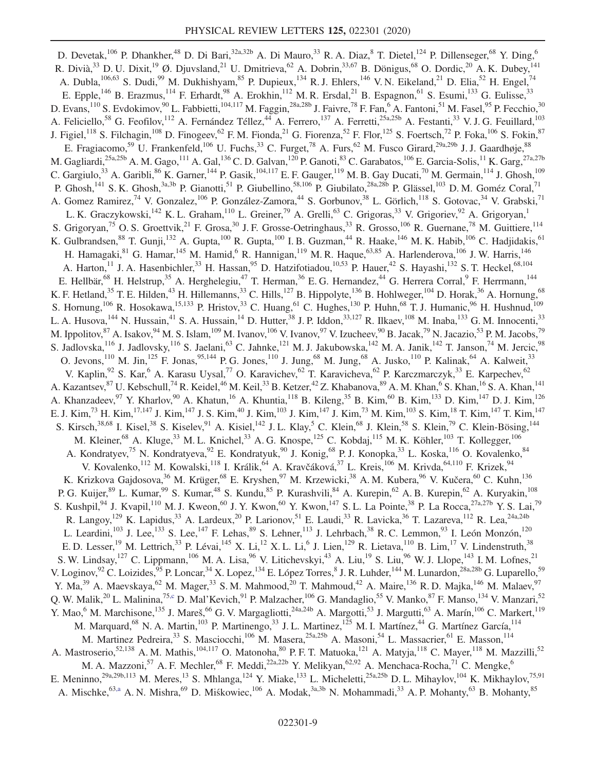<span id="page-8-1"></span><span id="page-8-0"></span>D. Devetak,<sup>106</sup> P. Dhankher,<sup>48</sup> D. Di Bari,<sup>32a,32b</sup> A. Di Mauro,<sup>33</sup> R. A. Diaz,<sup>8</sup> T. Dietel,<sup>124</sup> P. Dillenseger,<sup>68</sup> Y. Ding,<sup>6</sup> R. Divià,  $33$  D. U. Dixit,  $19$  Ø. Djuvsland,  $21$  U. Dmitrieva,  $62$  A. Dobrin,  $33,67$  B. Dönigus,  $68$  O. Dordic,  $20$  A. K. Dubey,  $141$ A. Dubla,  $^{106,63}$  S. Dudi,  $^{99}$  M. Dukhishyam,  $^{85}$  P. Dupieux,  $^{134}$  R. J. Ehlers,  $^{146}$  V. N. Eikeland,  $^{21}$  D. Elia,  $^{52}$  H. Engel,  $^{74}$ E. Epple,<sup>146</sup> B. Erazmus,<sup>114</sup> F. Erhardt,<sup>98</sup> A. Erokhin,<sup>112</sup> M. R. Ersdal,<sup>21</sup> B. Espagnon,<sup>61</sup> S. Esumi,<sup>133</sup> G. Eulisse,<sup>33</sup> D. Evans,  $^{110}$  S. Evdokimov,  $^{90}$  L. Fabbietti,  $^{104,117}$  M. Faggin,  $^{28a,28b}$  J. Faivre,  $^{78}$  F. Fan,  $^6$  A. Fantoni,  $^{51}$  M. Fasel,  $^{95}$  P. Fecchio,  $^{30}$ A. Feliciello,<sup>58</sup> G. Feofilov,<sup>112</sup> A. Fernández Téllez,<sup>44</sup> A. Ferrero,<sup>137</sup> A. Ferretti,<sup>25a,25b</sup> A. Festanti,<sup>33</sup> V. J. G. Feuillard,<sup>103</sup> J. Figiel,<sup>118</sup> S. Filchagin,<sup>108</sup> D. Finogeev,<sup>62</sup> F.M. Fionda,<sup>21</sup> G. Fiorenza,<sup>52</sup> F. Flor,<sup>125</sup> S. Foertsch,<sup>72</sup> P. Foka,<sup>106</sup> S. Fokin,<sup>87</sup> E. Fragiacomo,<sup>59</sup> U. Frankenfeld,<sup>106</sup> U. Fuchs,<sup>33</sup> C. Furget,<sup>78</sup> A. Furs,<sup>62</sup> M. Fusco Girard,<sup>29a,29b</sup> J. J. Gaardhøje,<sup>88</sup> M. Gagliardi,<sup>25a,25b</sup> A. M. Gago,<sup>111</sup> A. Gal,<sup>136</sup> C. D. Galvan,<sup>120</sup> P. Ganoti,<sup>83</sup> C. Garabatos,<sup>106</sup> E. Garcia-Solis,<sup>11</sup> K. Garg,<sup>27a,27b</sup> C. Gargiulo,<sup>33</sup> A. Garibli,<sup>86</sup> K. Garner,<sup>144</sup> P. Gasik,<sup>104,117</sup> E. F. Gauger,<sup>119</sup> M. B. Gay Ducati,<sup>70</sup> M. Germain,<sup>114</sup> J. Ghosh,<sup>109</sup> P. Ghosh,<sup>141</sup> S. K. Ghosh,<sup>3a,3b</sup> P. Gianotti,<sup>51</sup> P. Giubellino,<sup>58,106</sup> P. Giubilato,<sup>28a,28b</sup> P. Glässel,<sup>103</sup> D. M. Goméz Coral,<sup>71</sup> A. Gomez Ramirez,<sup>74</sup> V. Gonzalez,<sup>106</sup> P. González-Zamora,<sup>44</sup> S. Gorbunov,<sup>38</sup> L. Görlich,<sup>118</sup> S. Gotovac,<sup>34</sup> V. Grabski,<sup>71</sup> L. K. Graczykowski,<sup>142</sup> K. L. Graham,<sup>110</sup> L. Greiner,<sup>79</sup> A. Grelli,<sup>63</sup> C. Grigoras,<sup>33</sup> V. Grigoriev,<sup>92</sup> A. Grigoryan,<sup>1</sup> S. Grigoryan,<sup>75</sup> O. S. Groettvik,<sup>21</sup> F. Grosa,<sup>30</sup> J. F. Grosse-Oetringhaus,<sup>33</sup> R. Grosso,<sup>106</sup> R. Guernane,<sup>78</sup> M. Guittiere,<sup>114</sup> K. Gulbrandsen, <sup>88</sup> T. Gunji, <sup>132</sup> A. Gupta, <sup>100</sup> R. Gupta, <sup>100</sup> I. B. Guzman, <sup>44</sup> R. Haake, <sup>146</sup> M. K. Habib, <sup>106</sup> C. Hadjidakis, <sup>61</sup> H. Hamagaki, <sup>81</sup> G. Hamar, <sup>145</sup> M. Hamid, <sup>6</sup> R. Hannigan, <sup>119</sup> M. R. Haque, <sup>63,85</sup> A. Harlenderova, <sup>106</sup> J. W. Harris, <sup>146</sup> A. Harton,<sup>11</sup> J. A. Hasenbichler,<sup>33</sup> H. Hassan,<sup>95</sup> D. Hatzifotiadou,<sup>10,53</sup> P. Hauer,<sup>42</sup> S. Hayashi,<sup>132</sup> S. T. Heckel,<sup>68,104</sup> E. Hellbär,<sup>68</sup> H. Helstrup,<sup>35</sup> A. Herghelegiu,<sup>47</sup> T. Herman,<sup>36</sup> E. G. Hernandez,<sup>44</sup> G. Herrera Corral,<sup>9</sup> F. Herrmann,<sup>144</sup> K. F. Hetland,<sup>35</sup> T. E. Hilden,<sup>43</sup> H. Hillemanns,<sup>33</sup> C. Hills,<sup>127</sup> B. Hippolyte,<sup>136</sup> B. Hohlweger,<sup>104</sup> D. Horak,<sup>36</sup> A. Hornung,<sup>68</sup> S. Hornung,  $^{106}$  R. Hosokawa,  $^{15,133}$  P. Hristov,  $^{33}$  C. Huang,  $^{61}$  C. Hughes,  $^{130}$  P. Huhn,  $^{68}$  T. J. Humanic,  $^{96}$  H. Hushnud,  $^{109}$ L. A. Husova,  $^{144}$  N. Hussain,  $^{41}$  S. A. Hussain,  $^{14}$  D. Hutter,  $^{38}$  J. P. Iddon,  $^{33,127}$  R. Ilkaev,  $^{108}$  M. Inaba,  $^{133}$  G. M. Innocenti,  $^{33}$ M. Ippolitov,<sup>87</sup> A. Isakov,<sup>94</sup> M. S. Islam,<sup>109</sup> M. Ivanov,<sup>106</sup> V. Ivanov,<sup>97</sup> V. Izucheev,<sup>90</sup> B. Jacak,<sup>79</sup> N. Jacazio,<sup>53</sup> P. M. Jacobs,<sup>79</sup> S. Jadlovska,  $^{116}$  J. Jadlovsky,  $^{116}$  S. Jaelani,  $^{63}$  C. Jahnke,  $^{121}$  M. J. Jakubowska,  $^{142}$  M. A. Janik,  $^{142}$  T. Janson,  $^{74}$  M. Jercic,  $^{98}$ O. Jevons,<sup>110</sup> M. Jin,<sup>125</sup> F. Jonas,<sup>95,144</sup> P. G. Jones,<sup>110</sup> J. Jung,<sup>68</sup> M. Jung,<sup>68</sup> A. Jusko,<sup>110</sup> P. Kalinak,<sup>64</sup> A. Kalweit,<sup>33</sup> V. Kaplin,<sup>92</sup> S. Kar,<sup>6</sup> A. Karasu Uysal,<sup>77</sup> O. Karavichev,<sup>62</sup> T. Karavicheva,<sup>62</sup> P. Karczmarczyk,<sup>33</sup> E. Karpechev,<sup>62</sup> A. Kazantsev, $^{87}$  U. Kebschull,<sup>74</sup> R. Keidel,<sup>46</sup> M. Keil,<sup>33</sup> B. Ketzer,<sup>42</sup> Z. Khabanova,<sup>89</sup> A. M. Khan,<sup>6</sup> S. Khan,<sup>16</sup> S. A. Khan,<sup>141</sup> A. Khanzadeev,  $97$  Y. Kharlov,  $90$  A. Khatun,  $^{16}$  A. Khuntia,  $^{118}$  B. Kileng,  $^{35}$  B. Kim,  $^{60}$  B. Kim,  $^{133}$  D. Kim,  $^{147}$  D. J. Kim,  $^{126}$ E. J. Kim,<sup>73</sup> H. Kim,<sup>17,147</sup> J. Kim,<sup>147</sup> J. S. Kim,<sup>40</sup> J. Kim,<sup>103</sup> J. Kim,<sup>147</sup> J. Kim,<sup>73</sup> M. Kim,<sup>103</sup> S. Kim,<sup>18</sup> T. Kim,<sup>147</sup> T. Kim,<sup>147</sup> S. Kirsch,  $38,68$  I. Kisel,  $38$  S. Kiselev,  $91$  A. Kisiel,  $142$  J. L. Klay,  $5$  C. Klein,  $68$  J. Klein,  $58$  S. Klein,  $79$  C. Klein-Bösing,  $144$ M. Kleiner, <sup>68</sup> A. Kluge, <sup>33</sup> M. L. Knichel, <sup>33</sup> A. G. Knospe, <sup>125</sup> C. Kobdaj, <sup>115</sup> M. K. Köhler, <sup>103</sup> T. Kollegger, <sup>106</sup> A. Kondratyev,<sup>75</sup> N. Kondratyeva,<sup>92</sup> E. Kondratyuk,<sup>90</sup> J. Konig,<sup>68</sup> P. J. Konopka,<sup>33</sup> L. Koska,<sup>116</sup> O. Kovalenko,<sup>84</sup> V. Kovalenko,<sup>112</sup> M. Kowalski,<sup>118</sup> I. Králik,<sup>64</sup> A. Kravčáková,<sup>37</sup> L. Kreis,<sup>106</sup> M. Krivda,<sup>64,110</sup> F. Krizek,<sup>94</sup> K. Krizkova Gajdosova,<sup>36</sup> M. Krüger,<sup>68</sup> E. Kryshen,<sup>97</sup> M. Krzewicki,<sup>38</sup> A. M. Kubera,<sup>96</sup> V. Kučera,<sup>60</sup> C. Kuhn,<sup>136</sup> P. G. Kuijer,<sup>89</sup> L. Kumar,<sup>99</sup> S. Kumar,<sup>48</sup> S. Kundu,<sup>85</sup> P. Kurashvili,<sup>84</sup> A. Kurepin,<sup>62</sup> A. B. Kurepin,<sup>62</sup> A. Kuryakin,<sup>108</sup> S. Kushpil, <sup>94</sup> J. Kvapil, <sup>110</sup> M. J. Kweon, <sup>60</sup> J. Y. Kwon, <sup>60</sup> Y. Kwon, <sup>147</sup> S. L. La Pointe, <sup>38</sup> P. La Rocca, <sup>27a, 27b</sup> Y. S. Lai, <sup>79</sup> R. Langoy,<sup>129</sup> K. Lapidus,<sup>33</sup> A. Lardeux,<sup>20</sup> P. Larionov,<sup>51</sup> E. Laudi,<sup>33</sup> R. Lavicka,<sup>36</sup> T. Lazareva,<sup>112</sup> R. Lea,<sup>24a,24b</sup> L. Leardini,<sup>103</sup> J. Lee,<sup>133</sup> S. Lee,<sup>147</sup> F. Lehas,<sup>89</sup> S. Lehner,<sup>113</sup> J. Lehrbach,<sup>38</sup> R. C. Lemmon,<sup>93</sup> I. León Monzón,<sup>120</sup> E. D. Lesser,<sup>19</sup> M. Lettrich,<sup>33</sup> P. Lévai,<sup>145</sup> X. Li,<sup>12</sup> X. L. Li,<sup>6</sup> J. Lien,<sup>129</sup> R. Lietava,<sup>110</sup> B. Lim,<sup>17</sup> V. Lindenstruth,<sup>38</sup> S. W. Lindsay,  $^{127}$  C. Lippmann,  $^{106}$  M. A. Lisa,  $^{96}$  V. Litichevskyi,  $^{43}$  A. Liu,  $^{19}$  S. Liu,  $^{96}$  W. J. Llope,  $^{143}$  I. M. Lofnes,  $^{21}$ V. Loginov, <sup>92</sup> C. Loizides, <sup>95</sup> P. Loncar, <sup>34</sup> X. Lopez, <sup>134</sup> E. López Torres, <sup>8</sup> J. R. Luhder, <sup>144</sup> M. Lunardon, <sup>28a, 28b</sup> G. Luparello, <sup>59</sup> Y. Ma,<sup>39</sup> A. Maevskaya,<sup>62</sup> M. Mager,<sup>33</sup> S. M. Mahmood,<sup>20</sup> T. Mahmoud,<sup>42</sup> A. Maire,<sup>136</sup> R. D. Majka,<sup>146</sup> M. Malaev,<sup>97</sup> Q. W. Malik,<sup>20</sup> L. Malinina,<sup>7[5,c](#page-12-1)</sup> D. Mal'Kevich,<sup>91</sup> P. Malzacher,<sup>106</sup> G. Mandaglio,<sup>55</sup> V. Manko,<sup>87</sup> F. Manso,<sup>134</sup> V. Manzari,<sup>52</sup> Y. Mao,<sup>6</sup> M. Marchisone,<sup>135</sup> J. Mareš,<sup>66</sup> G. V. Margagliotti,<sup>24a,24b</sup> A. Margotti,<sup>53</sup> J. Margutti,<sup>63</sup> A. Marín,<sup>106</sup> C. Markert,<sup>119</sup> M. Marquard, <sup>68</sup> N. A. Martin, <sup>103</sup> P. Martinengo, <sup>33</sup> J. L. Martinez, <sup>125</sup> M. I. Martínez, <sup>44</sup> G. Martínez García, <sup>114</sup> M. Martinez Pedreira,<sup>33</sup> S. Masciocchi,<sup>106</sup> M. Masera,<sup>25a,25b</sup> A. Masoni,<sup>54</sup> L. Massacrier,<sup>61</sup> E. Masson,<sup>114</sup> A. Mastroserio,<sup>52,138</sup> A. M. Mathis,<sup>104,117</sup> O. Matonoha,<sup>80</sup> P. F. T. Matuoka,<sup>121</sup> A. Matyja,<sup>118</sup> C. Mayer,<sup>118</sup> M. Mazzilli,<sup>52</sup> M. A. Mazzoni,<sup>57</sup> A. F. Mechler,<sup>68</sup> F. Meddi,<sup>22a,22b</sup> Y. Melikyan,<sup>62,92</sup> A. Menchaca-Rocha,<sup>71</sup> C. Mengke,<sup>6</sup> E. Meninno,<sup>29a,29b,113</sup> M. Meres,<sup>13</sup> S. Mhlanga,<sup>124</sup> Y. Miake,<sup>133</sup> L. Micheletti,<sup>25a,25b</sup> D. L. Mihaylov,<sup>104</sup> K. Mikhaylov,<sup>75,91</sup> A. Mischke, <sup>6[3,a](#page-12-2)</sup> A. N. Mishra, <sup>69</sup> D. Miśkowiec, <sup>106</sup> A. Modak, <sup>3a,3b</sup> N. Mohammadi, <sup>33</sup> A. P. Mohanty, <sup>63</sup> B. Mohanty, <sup>85</sup>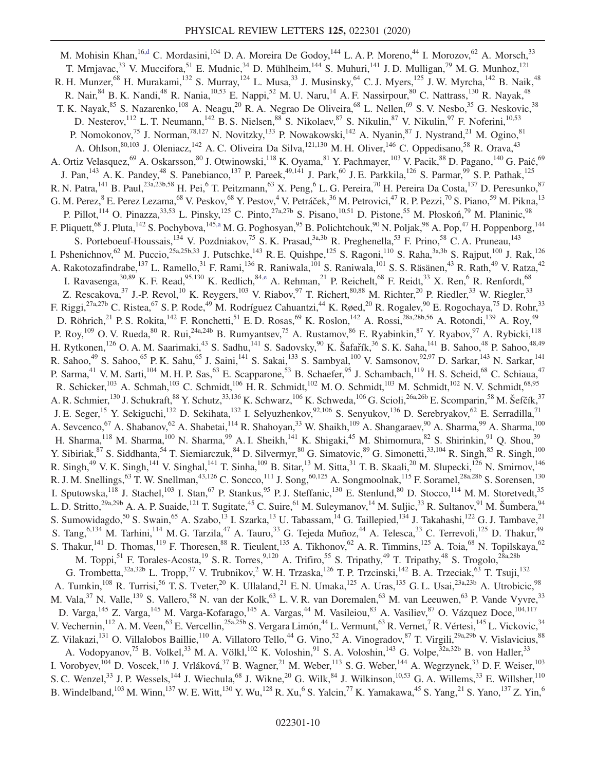<span id="page-9-1"></span><span id="page-9-0"></span>M. Mohisin Khan, 1[6,d](#page-12-3) C. Mordasini, 104 D. A. Moreira De Godoy, <sup>144</sup> L. A. P. Moreno, <sup>44</sup> I. Morozov, <sup>62</sup> A. Morsch, <sup>33</sup> T. Mrnjavac,<sup>33</sup> V. Muccifora,<sup>51</sup> E. Mudnic,<sup>34</sup> D. Mühlheim,<sup>144</sup> S. Muhuri,<sup>141</sup> J.D. Mulligan,<sup>79</sup> M. G. Munhoz,<sup>121</sup> R. H. Munzer,<sup>68</sup> H. Murakami,<sup>132</sup> S. Murray,<sup>124</sup> L. Musa,<sup>33</sup> J. Musinsky,<sup>64</sup> C. J. Myers,<sup>125</sup> J. W. Myrcha,<sup>142</sup> B. Naik,<sup>48</sup> R. Nair,<sup>84</sup> B. K. Nandi,<sup>48</sup> R. Nania,<sup>10,53</sup> E. Nappi,<sup>52</sup> M. U. Naru,<sup>14</sup> A. F. Nassirpour,<sup>80</sup> C. Nattrass,<sup>130</sup> R. Nayak,<sup>48</sup> T. K. Nayak,<sup>85</sup> S. Nazarenko,<sup>108</sup> A. Neagu,<sup>20</sup> R. A. Negrao De Oliveira,<sup>68</sup> L. Nellen,<sup>69</sup> S. V. Nesbo,<sup>35</sup> G. Neskovic,<sup>38</sup> D. Nesterov, <sup>112</sup> L. T. Neumann, <sup>142</sup> B. S. Nielsen, <sup>88</sup> S. Nikolaev, <sup>87</sup> S. Nikulin, <sup>87</sup> V. Nikulin, <sup>97</sup> F. Noferini, <sup>10,53</sup> P. Nomokonov,<sup>75</sup> J. Norman,<sup>78,127</sup> N. Novitzky,<sup>133</sup> P. Nowakowski,<sup>142</sup> A. Nyanin,<sup>87</sup> J. Nystrand,<sup>21</sup> M. Ogino,<sup>81</sup> A. Ohlson,<sup>80,103</sup> J. Oleniacz,<sup>142</sup> A. C. Oliveira Da Silva,<sup>121,130</sup> M. H. Oliver,<sup>146</sup> C. Oppedisano,<sup>58</sup> R. Orava,<sup>43</sup> A. Ortiz Velasquez, <sup>69</sup> A. Oskarsson, <sup>80</sup> J. Otwinowski, <sup>118</sup> K. Oyama, <sup>81</sup> Y. Pachmayer, <sup>103</sup> V. Pacik, <sup>88</sup> D. Pagano, <sup>140</sup> G. Paić, <sup>69</sup> J. Pan,<sup>143</sup> A. K. Pandey,<sup>48</sup> S. Panebianco,<sup>137</sup> P. Pareek,<sup>49,141</sup> J. Park,<sup>60</sup> J. E. Parkkila,<sup>126</sup> S. Parmar,<sup>99</sup> S. P. Pathak,<sup>125</sup> R. N. Patra, <sup>141</sup> B. Paul, <sup>23a, 23b, 58</sup> H. Pei, <sup>6</sup> T. Peitzmann, <sup>63</sup> X. Peng, <sup>6</sup> L. G. Pereira, <sup>70</sup> H. Pereira Da Costa, <sup>137</sup> D. Peresunko, <sup>87</sup> G. M. Perez, <sup>8</sup> E. Perez Lezama, <sup>68</sup> V. Peskov, <sup>68</sup> Y. Pestov, <sup>4</sup> V. Petráček, <sup>36</sup> M. Petrovici, <sup>47</sup> R. P. Pezzi, <sup>70</sup> S. Piano, <sup>59</sup> M. Pikna, <sup>13</sup> P. Pillot,<sup>114</sup> O. Pinazza,<sup>33,53</sup> L. Pinsky,<sup>125</sup> C. Pinto,<sup>27a,27b</sup> S. Pisano,<sup>10,51</sup> D. Pistone,<sup>55</sup> M. Płoskoń,<sup>79</sup> M. Planinic,<sup>98</sup> F. Pliquett,<sup>68</sup> J. Pluta,<sup>142</sup> S. Pochybova,<sup>145[,a](#page-12-2)</sup> M. G. Poghosyan,<sup>95</sup> B. Polichtchouk,<sup>90</sup> N. Poljak,<sup>98</sup> A. Pop,<sup>47</sup> H. Poppenborg,<sup>144</sup> S. Porteboeuf-Houssais,<sup>134</sup> V. Pozdniakov,<sup>75</sup> S. K. Prasad,<sup>3a,3b</sup> R. Preghenella,<sup>53</sup> F. Prino,<sup>58</sup> C. A. Pruneau,<sup>143</sup> I. Pshenichnov,<sup>62</sup> M. Puccio,<sup>25a,25b,33</sup> J. Putschke,<sup>143</sup> R. E. Quishpe,<sup>125</sup> S. Ragoni,<sup>110</sup> S. Raha,<sup>3a,3b</sup> S. Rajput,<sup>100</sup> J. Rak,<sup>126</sup> A. Rakotozafindrabe,<sup>137</sup> L. Ramello,<sup>31</sup> F. Rami,<sup>136</sup> R. Raniwala,<sup>101</sup> S. Raniwala,<sup>101</sup> S. S. Räsänen,<sup>43</sup> R. Rath,<sup>49</sup> V. Ratza,<sup>42</sup> I. Ravasenga,  $30,89$  K. F. Read,  $95,130$  K. Redlich,  $84, e$  A. Rehman,  $21$  P. Reichelt,  $68$  F. Reidt,  $33$  X. Ren,  $6$  R. Renfordt,  $68$ Z. Rescakova,  $3^7$  J.-P. Revol,  $10^1$  K. Reygers,  $10^3$  V. Riabov,  $9^7$  T. Richert,  $80,88$  M. Richter,  $2^0$  P. Riedler,  $3^3$  W. Riegler,  $3^3$ F. Riggi,<sup>27a,27b</sup> C. Ristea,<sup>67</sup> S. P. Rode,<sup>49</sup> M. Rodríguez Cahuantzi,<sup>44</sup> K. Røed,<sup>20</sup> R. Rogalev,<sup>90</sup> E. Rogochaya,<sup>75</sup> D. Rohr,<sup>33</sup> D. Röhrich,<sup>21</sup> P. S. Rokita,<sup>142</sup> F. Ronchetti,<sup>51</sup> E. D. Rosas,<sup>69</sup> K. Roslon,<sup>142</sup> A. Rossi,<sup>28a,28b,56</sup> A. Rotondi,<sup>139</sup> A. Roy,<sup>49</sup> P. Roy,<sup>109</sup> O. V. Rueda,<sup>80</sup> R. Rui,<sup>24a,24b</sup> B. Rumyantsev,<sup>75</sup> A. Rustamov,<sup>86</sup> E. Ryabinkin,<sup>87</sup> Y. Ryabov,<sup>97</sup> A. Rybicki,<sup>118</sup> H. Rytkonen,<sup>126</sup> O. A. M. Saarimaki,<sup>43</sup> S. Sadhu,<sup>141</sup> S. Sadovsky,<sup>90</sup> K. Šafařík,<sup>36</sup> S. K. Saha,<sup>141</sup> B. Sahoo,<sup>48</sup> P. Sahoo,<sup>48</sup>,49 R. Sahoo,<sup>49</sup> S. Sahoo,<sup>65</sup> P. K. Sahu,<sup>65</sup> J. Saini,<sup>141</sup> S. Sakai,<sup>133</sup> S. Sambyal,<sup>100</sup> V. Samsonov,<sup>92,97</sup> D. Sarkar,<sup>143</sup> N. Sarkar,<sup>141</sup> P. Sarma,<sup>41</sup> V. M. Sarti,<sup>104</sup> M. H. P. Sas,<sup>63</sup> E. Scapparone,<sup>53</sup> B. Schaefer,<sup>95</sup> J. Schambach,<sup>119</sup> H. S. Scheid,<sup>68</sup> C. Schiaua,<sup>47</sup> R. Schicker,<sup>103</sup> A. Schmah,<sup>103</sup> C. Schmidt,<sup>106</sup> H. R. Schmidt,<sup>102</sup> M. O. Schmidt,<sup>103</sup> M. Schmidt,<sup>102</sup> N. V. Schmidt,<sup>68,95</sup> A. R. Schmier,<sup>130</sup> J. Schukraft,<sup>88</sup> Y. Schutz,<sup>33,136</sup> K. Schwarz,<sup>106</sup> K. Schweda,<sup>106</sup> G. Scioli,<sup>26a,26b</sup> E. Scomparin,<sup>58</sup> M. Šefčík,<sup>37</sup> J. E. Seger,<sup>15</sup> Y. Sekiguchi,<sup>132</sup> D. Sekihata,<sup>132</sup> I. Selyuzhenkov,<sup>92,106</sup> S. Senyukov,<sup>136</sup> D. Serebryakov,<sup>62</sup> E. Serradilla,<sup>71</sup> A. Sevcenco,<sup>67</sup> A. Shabanov,<sup>62</sup> A. Shabetai,<sup>114</sup> R. Shahoyan,<sup>33</sup> W. Shaikh,<sup>109</sup> A. Shangaraev,<sup>90</sup> A. Sharma,<sup>99</sup> A. Sharma,<sup>100</sup> H. Sharma, 118 M. Sharma, 100 N. Sharma, <sup>99</sup> A. I. Sheikh, <sup>141</sup> K. Shigaki, <sup>45</sup> M. Shimomura, <sup>82</sup> S. Shirinkin, <sup>91</sup> Q. Shou, <sup>39</sup> Y. Sibiriak,<sup>87</sup> S. Siddhanta,<sup>54</sup> T. Siemiarczuk,<sup>84</sup> D. Silvermyr,<sup>80</sup> G. Simatovic,<sup>89</sup> G. Simonetti,<sup>33,104</sup> R. Singh,<sup>85</sup> R. Singh,<sup>100</sup> R. Singh,<sup>49</sup> V. K. Singh,<sup>141</sup> V. Singhal,<sup>141</sup> T. Sinha,<sup>109</sup> B. Sitar,<sup>13</sup> M. Sitta,<sup>31</sup> T. B. Skaali,<sup>20</sup> M. Slupecki,<sup>126</sup> N. Smirnov,<sup>146</sup> R. J. M. Snellings,  $^{63}$  T. W. Snellman,  $^{43,126}$  C. Soncco,  $^{111}$  J. Song,  $^{60,125}$  A. Songmoolnak,  $^{115}$  F. Soramel,  $^{28a,28b}$  S. Sorensen,  $^{130}$ I. Sputowska,  $^{118}$  J. Stachel,  $^{103}$  I. Stan,  $^{67}$  P. Stankus,  $^{95}$  P. J. Steffanic,  $^{130}$  E. Stenlund,  $^{80}$  D. Stocco,  $^{114}$  M. M. Storetvedt,  $^{35}$ L. D. Stritto,<sup>29a,29b</sup> A. A. P. Suaide,<sup>121</sup> T. Sugitate,<sup>45</sup> C. Suire,<sup>61</sup> M. Suleymanov,<sup>14</sup> M. Suljic,<sup>33</sup> R. Sultanov,<sup>91</sup> M. Šumbera,<sup>94</sup> S. Sumowidagdo,<sup>50</sup> S. Swain,<sup>65</sup> A. Szabo,<sup>13</sup> I. Szarka,<sup>13</sup> U. Tabassam,<sup>14</sup> G. Taillepied,<sup>134</sup> J. Takahashi,<sup>122</sup> G. J. Tambave,<sup>21</sup> S. Tang,<sup>6,134</sup> M. Tarhini,<sup>114</sup> M. G. Tarzila,<sup>47</sup> A. Tauro,<sup>33</sup> G. Tejeda Muñoz,<sup>44</sup> A. Telesca,<sup>33</sup> C. Terrevoli,<sup>125</sup> D. Thakur,<sup>49</sup> S. Thakur,<sup>141</sup> D. Thomas,<sup>119</sup> F. Thoresen,<sup>88</sup> R. Tieulent,<sup>135</sup> A. Tikhonov,<sup>62</sup> A. R. Timmins,<sup>125</sup> A. Toia,<sup>68</sup> N. Topilskaya,<sup>62</sup> M. Toppi,<sup>51</sup> F. Torales-Acosta,<sup>19</sup> S. R. Torres,<sup>9,120</sup> A. Trifiro,<sup>55</sup> S. Tripathy,<sup>49</sup> T. Tripathy,<sup>48</sup> S. Trogolo,<sup>28a,28b</sup> G. Trombetta,  $32a,32b$  L. Tropp,  $37$  V. Trubnikov,  $2$  W. H. Trzaska,  $126$  T. P. Trzcinski,  $142$  B. A. Trzeciak,  $63$  T. Tsuji,  $132$ A. Tumkin,<sup>108</sup> R. Turrisi,<sup>56</sup> T. S. Tveter,<sup>20</sup> K. Ullaland,<sup>21</sup> E. N. Umaka,<sup>125</sup> A. Uras,<sup>135</sup> G. L. Usai,<sup>23a,23b</sup> A. Utrobicic,<sup>98</sup> M. Vala,<sup>37</sup> N. Valle,<sup>139</sup> S. Vallero,<sup>58</sup> N. van der Kolk,<sup>63</sup> L. V. R. van Doremalen,<sup>63</sup> M. van Leeuwen,<sup>63</sup> P. Vande Vyvre,<sup>33</sup> D. Varga,<sup>145</sup> Z. Varga,<sup>145</sup> M. Varga-Kofarago,<sup>145</sup> A. Vargas,<sup>44</sup> M. Vasileiou,<sup>83</sup> A. Vasiliev, <sup>87</sup> O. Vázquez Doce, <sup>104,117</sup> V. Vechernin,<sup>112</sup> A. M. Veen,<sup>63</sup> E. Vercellin,<sup>25a,25b</sup> S. Vergara Limón,<sup>44</sup> L. Vermunt,<sup>63</sup> R. Vernet,<sup>7</sup> R. Vértesi,<sup>145</sup> L. Vickovic,<sup>34</sup> Z. Vilakazi,<sup>131</sup> O. Villalobos Baillie,<sup>110</sup> A. Villatoro Tello,<sup>44</sup> G. Vino,<sup>52</sup> A. Vinogradov,<sup>87</sup> T. Virgili,<sup>29a,29b</sup> V. Vislavicius,<sup>88</sup> A. Vodopyanov,<sup>75</sup> B. Volkel,<sup>33</sup> M. A. Völkl,<sup>102</sup> K. Voloshin,<sup>91</sup> S. A. Voloshin,<sup>143</sup> G. Volpe,<sup>32a,32b</sup> B. von Haller,<sup>33</sup> I. Vorobyev,<sup>104</sup> D. Voscek,<sup>116</sup> J. Vrláková,<sup>37</sup> B. Wagner,<sup>21</sup> M. Weber,<sup>113</sup> S. G. Weber,<sup>144</sup> A. Wegrzynek,<sup>33</sup> D. F. Weiser,<sup>103</sup> S. C. Wenzel,<sup>33</sup> J. P. Wessels,<sup>144</sup> J. Wiechula,<sup>68</sup> J. Wikne,<sup>20</sup> G. Wilk,<sup>84</sup> J. Wilkinson,<sup>10,53</sup> G. A. Willems,<sup>33</sup> E. Willsher,<sup>110</sup> B. Windelband,<sup>103</sup> M. Winn,<sup>137</sup> W. E. Witt,<sup>130</sup> Y. Wu,<sup>128</sup> R. Xu, <sup>6</sup> S. Yalcin,<sup>77</sup> K. Yamakawa,<sup>45</sup> S. Yang,<sup>21</sup> S. Yano,<sup>137</sup> Z. Yin,<sup>6</sup>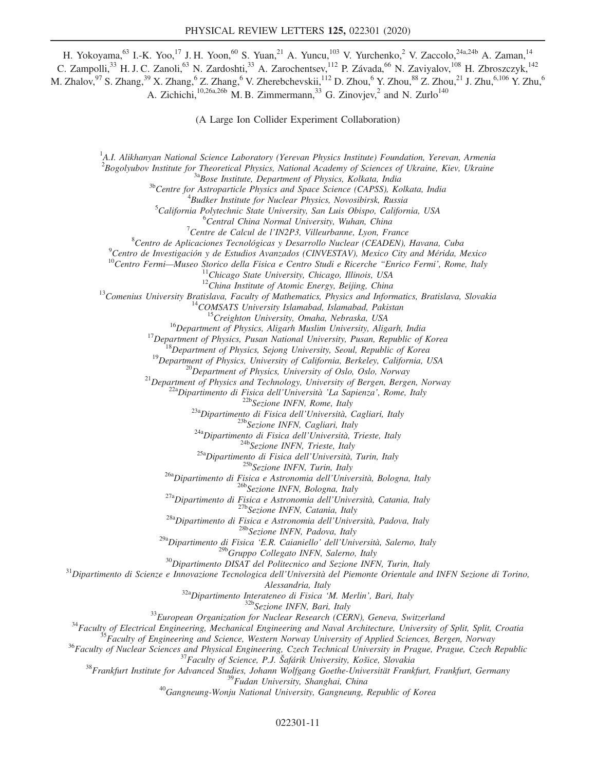H. Yokoyama,<sup>63</sup> I.-K. Yoo,<sup>17</sup> J. H. Yoon,<sup>60</sup> S. Yuan,<sup>21</sup> A. Yuncu,<sup>103</sup> V. Yurchenko,<sup>2</sup> V. Zaccolo,<sup>24a,24b</sup> A. Zaman,<sup>14</sup> C. Zampolli,<sup>33</sup> H. J. C. Zanoli,<sup>63</sup> N. Zardoshti,<sup>33</sup> A. Zarochentsev,<sup>112</sup> P. Závada,<sup>66</sup> N. Zaviyalov,<sup>108</sup> H. Zbroszczyk,<sup>142</sup> M. Zhalov,  $97$  S. Zhang,  $39$  X. Zhang,  $6$  Z. Zhang,  $6$  V. Zherebchevskii,  $^{112}$  D. Zhou,  $6$  Y. Zhou,  $^{88}$  Z. Zhou,  $^{21}$  J. Zhu,  $^{6,106}$  Y. Zhu,  $6$ A. Zichichi,<sup>10,26a,26b</sup> M. B. Zimmermann,<sup>33</sup> G. Zinovjev,<sup>2</sup> and N. Zurlo<sup>140</sup>

(A Large Ion Collider Experiment Collaboration)

<sup>1</sup>A.I. Alikhanyan National Science Laboratory (Yerevan Physics Institute) Foundation, Yerevan, Armenia <sup>2</sup>Bogolyubov Institute for Theoretical Physics, National Academy of Sciences of Ukraine, Kiev, Ukraine<br><sup>3a</sup>Bose Institute, Department of Physics, Kolkata, India<br><sup>3b</sup>Centre for Astroparticle Physics and Space Science (CAP

 ${}^{4}$ Budker Institute for Nuclear Physics, Novosibirsk, Russia

 ${}^{5}$ California Polytechnic State University, San Luis Obispo, California, USA

 ${}^{6}$ Central China Normal University, Wuhan, China

 $\sigma$ <sup>7</sup>Centre de Calcul de l'IN2P3, Villeurbanne, Lyon, France

<sup>8</sup> Centro de Aplicaciones Tecnológicas y Desarrollo Nuclear (CEADEN), Havana, Cuba<br><sup>9</sup> Centro de Investigación y de Estudios Avanzados (CINVESTAV), Mexico City and Mérida, Mexico

Centro de Investigación y de Estudios Avanzados (CINVESTAV), Mexico City and Mérida, Mexico (CONETAT)<br>
"Chicago State University, Chicago, Illinois, USA<br>
11 Chicago State University, Chicago, Illinois, USA<br>
12 Comenius Uni

<sup>29a</sup>Dipartimento di Fisica 'E.R. Caianiello' dell'Università, Salerno, Italy<br><sup>29b</sup>Gruppo Collegato INFN, Salerno, Italy<sup>30</sup>Dipartimento DISAT del Politecnico and Sezione INFN, Turin, Italy<sup>31</sup>Dipartimento di Scienze e In

Alessandria, Italy<br>
<sup>32</sup>a Dipartimento Interateneo di Fisica 'M. Merlin', Bari, Italy<br>
<sup>32</sup>European Organization for Nuclear Research (CERN), Geneva, Switzerland<br>
<sup>33</sup>European Organization for Nuclear Research (CERN), Gene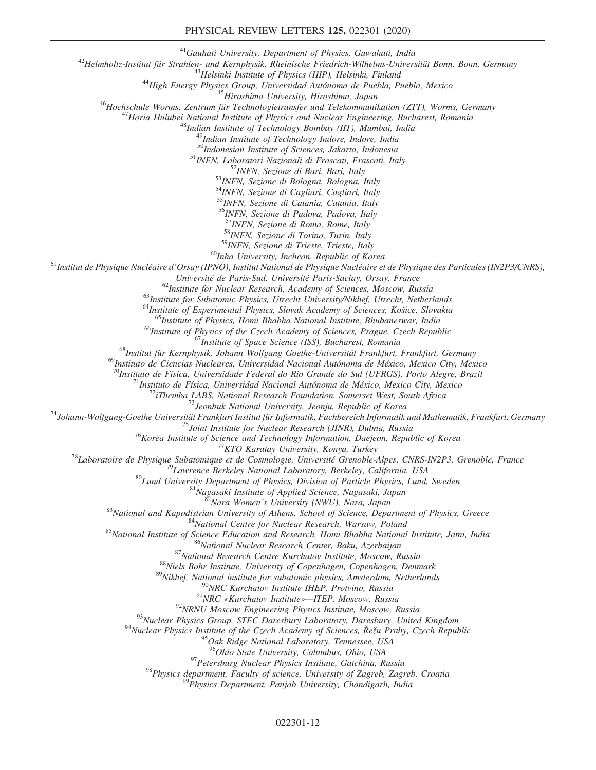## PHYSICAL REVIEW LETTERS 125, 022301 (2020)

<sup>41</sup>Gauhati University, Department of Physics, Guwahati, India<br><sup>42</sup>Helmholtz-Institut für Strahlen- und Kernphysik, Rheinische Friedrich-Wilhelms-Universität Bonn, Bonn, Germany<br><sup>43</sup>Helsinki Institute of Physics (HIP), He

50<br>
50<br>
51 Indonesian Institute of Sciences, Jakarta, Indonesia<br>
51 INFN, Laboratori Nazionali di Frascati, Frascati, Italy<br>
53 INFN, Sezione di Bari, Bari, Italy<br>
53 INFN, Sezione di Bologna, Bologna, Italy

54INFN, Sezione di Cagliari, Cagliari, Italy

55 INFN, Sezione di Catania, Catania, Italy

<sup>56</sup>INFN, Sezione di Padova, Padova, Italy<br><sup>57</sup>INFN, Sezione di Roma, Rome, Italy

 $58$ INFN, Sezione di Torino, Turin, Italy  $59$ INFN, Sezione di Trieste, Trieste, Italy

<sup>60</sup>Inha University, Incheon, Republic of Korea<br><sup>61</sup>Institut de Physique Nucléaire d'Orsay (IPNO), Institut National de Physique Nucléaire et de Physique des Particules (IN2P3/CNRS),<br>Université de Paris-Sud, Université Pa

<sup>62</sup>Institute for Nuclear Research, Academy of Sciences, Moscow, Russia<br>
<sup>63</sup>Institute for Subatomic Physics, Utrecht University/Nikhef, Utrecht, Netherlands<br>
<sup>64</sup>Institute of Experimental Physics, Slovak Academy of Scien

 $\begin{small} \begin{smallmatrix} \mathcal{D}_{\text{In}} & \mathcal{D}_{\text{in}} \cup \mathcal{D}_{\text{in}} \cup \mathcal{D}_{\text{in}} \cup \mathcal{D}_{\text{in}} \cup \mathcal{D}_{\text{in}} \cup \mathcal{D}_{\text{in}} \cup \mathcal{D}_{\text{in}} \cup \mathcal{D}_{\text{in}} \cup \mathcal{D}_{\text{in}} \cup \mathcal{D}_{\text{in}} \cup \mathcal{D}_{\text{in}} \cup \mathcal{D}_{\text{in}} \cup \mathcal{D}_{\text{in}} \cup \mathcal{D}_{\text{in}} \cup \mathcal{D}_{\text{in}} \cup \math$ 

<sup>94</sup>Nuclear Physics Institute of the Czech Academy of Sciences,  $\check{R}e\check{z}u$  Prahy, Czech Republic<br><sup>95</sup>Oak Ridge National Laboratory, Tennessee, USA<br><sup>96</sup>Ohio State University, Columbus, Ohio, USA

<sup>97</sup> Petersburg Nuclear Physics Institute, Gatchina, Russia<br><sup>98</sup> Physics department, Faculty of science, University of Zagreb, Zagreb, Croatia<br><sup>99</sup> Physics Department, Panjab University, Chandigarh, India